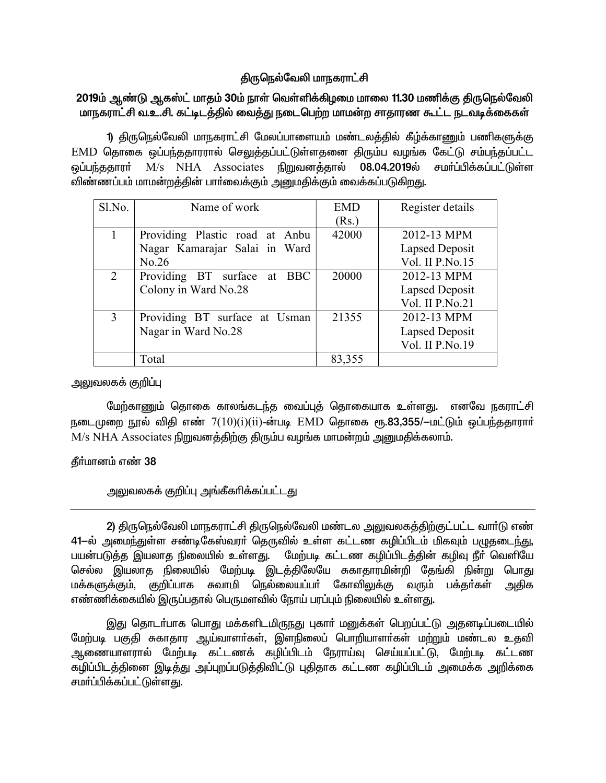# திருநெல்வேலி மாநகராட்சி

# 2019ம் ஆண்டு ஆகஸ்ட் மாதம் 30ம் நாள் வெள்ளிக்கிழமை மாலை 11.30 மணிக்கு திருநெல்வேலி மாநகராட்சி வ.உ.சி. கட்டிடத்தில் வைத்து நடைபெற்ற மாமன்ற சாதாரண கூட்ட நடவடிக்கைகள்

1) திருநெல்வேலி மாநகராட்சி மேலப்பாளையம் மண்டலத்தில் கீழ்க்காணும் பணிகளுக்கு EMD தொகை ஒப்பந்ததாரரால் செலுத்தப்பட்டுள்ளதனை திரும்ப வழங்க கேட்டு சம்பந்தப்பட்ட M/s NHA Associates நிறுவனத்தால் 08.04.2019ல் ஒப்பந்ததாரா் சமர்ப்பிக்கப்பட்டுள்ள விண்ணப்பம் மாமன்றத்தின் பார்வைக்கும் அறுமதிக்கும் வைக்கப்படுகிறது.

| Sl.No.                      | Name of work                   | <b>EMD</b> | Register details |
|-----------------------------|--------------------------------|------------|------------------|
|                             |                                | (Rs.)      |                  |
|                             | Providing Plastic road at Anbu | 42000      | 2012-13 MPM      |
|                             | Nagar Kamarajar Salai in Ward  |            | Lapsed Deposit   |
|                             | No.26                          |            | Vol. II P.No.15  |
| $\mathcal{D}_{\mathcal{L}}$ | Providing BT surface at BBC    | 20000      | 2012-13 MPM      |
|                             | Colony in Ward No.28           |            | Lapsed Deposit   |
|                             |                                |            | Vol. II P.No.21  |
| 3                           | Providing BT surface at Usman  | 21355      | 2012-13 MPM      |
|                             | Nagar in Ward No.28            |            | Lapsed Deposit   |
|                             |                                |            | Vol. II P.No.19  |
|                             | Total                          | 83,355     |                  |

## அலுவலகக் குறிப்பு

மேற்காணும் தொகை காலங்கடந்த வைப்புத் தொகையாக உள்ளது. எனவே நகராட்சி நடைமுறை நூல் விதி எண்  $7(10)(i)(ii)$ -ன்படி  $\overline{EMD}$  தொகை ரூ.83,355/ $-$ மட்டும் ஒப்பந்ததாராா்  $M/s$   $NHA$   $Associates$  நிறுவனத்திற்கு திரும்ப வழங்க மாமன்றம் அறையதிக்கலாம்.

# தீர்மானம் எண் 38

# அலுவலகக் குறிப்பு அங்கீகரிக்கப்பட்டது

2) திருநெல்வேலி மாநகராட்சி திருநெல்வேலி மண்டல அலுவலகத்திற்குட்பட்ட வார்டு எண் 41-ல் அமைந்துள்ள சண்டிகேஸ்வரா் தெருவில் உள்ள கட்டண கழிப்பிடம் மிகவும் பழுதடைந்து, பயன்படுத்த இயலாத நிலையில் உள்ளது. மேற்படி கட்டண கழிப்பிடத்தின் கழிவு நீா் வெளியே செல்ல இயலாத நிலையில் மேற்படி இடத்திலேயே சுகாதாரமின்றி தேங்கி நின்று பொது மக்களுக்கும், குறிப்பாக சுவாமி நெல்லையப்பா் கோவிலுக்கு வரும் பக்தா்கள் அதிக எண்ணிக்கையில் இருப்பதால் பெருமளவில் நோய் பரப்பும் நிலையில் உள்ளது.

இது தொடா்பாக பொது மக்களிடமிருநது புகாா் மனுக்கள் பெறப்பட்டு அதனடிப்படையில் மேற்படி பகுதி சுகாதார ஆய்வாளர்கள், இளநிலைப் பொறியாளர்கள் மற்றும் மண்டல உதவி ஆணையாளரால் மேற்படி கட்டணக் கழிப்பிடம் நேராய்வு செய்யப்பட்டு, மேற்படி கட்டண கழிப்பிடத்தினை இடித்து அப்புறப்படுத்திவிட்டு புதிதாக கட்டண கழிப்பிடம் அமைக்க அறிக்கை சமா்ப்பிக்கப்பட்டுள்ளது.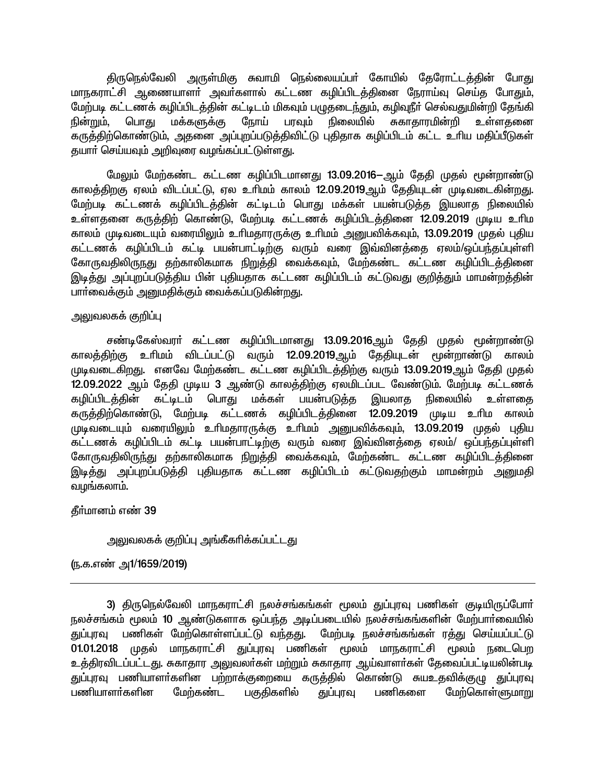திருநெல்வேலி அருள்மிகு சுவாமி நெல்லையப்பர் கோயில் தேரோட்டத்தின் போது மாநகராட்சி ஆணையாளா் அவா்களால் கட்டண கழிப்பிடத்தினை நேராய்வு செய்த போதும், மேற்படி கட்டணக் கழிப்பிடத்தின் கட்டிடம் மிகவும் பழுதடைந்தும், கழிவுநீர் செல்வதுமின்றி தேங்கி நிலையில் மக்களுக்கு ரோய் பரவும் சுகாகாரமின்றி நின்றும். பொகு உள்ளகனை கருத்திற்கொண்டும், அதனை அப்புறப்படுத்திவிட்டு புதிதாக கழிப்பிடம் கட்ட உரிய மதிப்பீடுகள் தயார் செய்யவும் அறிவுரை வழங்கப்பட்டுள்ளது.

மேலும் மேற்கண்ட கட்டண கழிப்பிடமானது 13.09.2016—ஆம் தேதி முதல் மூன்றாண்டு காலத்திறகு ஏலம் விடப்பட்டு, ஏல உரிமம் காலம் 12.09.2019ஆம் தேதியுடன் முடிவடைகின்றது. .<br>மேற்படி கட்டணக் கழிப்பிடத்தின் கட்டிடம் பொது மக்கள் பயன்படுத்த இயலாத நிலையில் உள்ளதனை கருத்திற் கொண்டு, மேற்படி கட்டணக் கழிப்பிடத்தினை 12.09.2019 முடிய உரிம காலம் முடிவடையும் வரையிலும் உரிமதாரருக்கு உரிமம் அனுபவிக்கவும், 13.09.2019 முதல் புதிய கட்டணக் கழிப்பிடம் கட்டி பயன்பாட்டிற்கு வரும் வரை இவ்வினத்தை ஏலம்/ஒப்பந்தப்புள்ளி கோருவதிலிருந்து தற்காலிகமாக நிறுத்தி வைக்கவும். மேற்கண்ட கட்டண கழிப்பிடத்தினை இடித்து அப்புறப்படுத்திய பின் புதியதாக கட்டண கழிப்பிடம் கட்டுவது குறித்தும் மாமன்றத்தின் பார்வைக்கும் அனுமதிக்கும் வைக்கப்படுகின்றது.

#### அலுவலகக் குறிப்பு

சண்டிகேஸ்வரா் கட்டண கழிப்பிடமானது 13.09.2016ஆம் தேதி முதல் மூன்றாண்டு காலத்திற்கு உரிமம் விடப்பட்டு வரும் 12.09.2019ஆம் தேதியுடன் மூன்றாண்டு காலம் முடிவடைகிறது. எனவே மேற்கண்ட கட்டண கழிப்பிடத்திற்கு வரும் 13.09.2019ஆம் தேதி முதல் 12.09.2022 ஆம் தேதி முடிய 3 ஆண்டு காலத்திற்கு ஏலமிடப்பட வேண்டும். மேற்படி கட்டணக் கழிப்பிடக்கின் கட்டிடம் பொது மக்கள் பயன்படுக்க இயலாகு நிலையில் உள்ளகை கருத்திற்கொண்டு, மேற்படி கட்டணக் கழிப்பிடத்தினை 12.09.2019 முடிய உரிம காலம் முடிவடையும் வரையிலும் உரிமதாரருக்கு உரிமம் அனுபவிக்கவும், 13.09.2019 முதல் புதிய கட்டணக் கழிப்பிடம் கட்டி பயன்பாட்டிற்கு வரும் வரை இவ்வினத்தை ஏலம்/ ஒப்பந்தப்புள்ளி கோருவதிலிருந்து தற்காலிகமாக நிறுத்தி வைக்கவும், மேற்கண்ட கட்டண கழிப்பிடத்தினை இடித்து அப்புறப்படுத்தி புதியதாக கட்டண கழிப்பிடம் கட்டுவதற்கும் மாமன்றம் அனுமதி வழங்கலாம்.

தீர்மானம் எண் 39

அலுவலகக் குறிப்பு அங்கீகரிக்கப்பட்டது

<u>(ந</u>.க.எண் அ1/1659/2019)

3) திருநெல்வேலி மாநகராட்சி நலச்சங்கங்கள் மூலம் துப்புரவு பணிகள் குடியிருப்போர் நலச்சங்கம் மூலம் 10 ஆண்டுகளாக ஒப்பந்த அடிப்படையில் நலச்சங்கங்களின் மேற்பாா்வையில் துப்புரவு பணிகள் மேற்கொள்ளப்பட்டு வந்தது. மேற்படி நலச்சங்கங்கள் ரத்து செய்யப்பட்டு 01.01.2018 முதல் மாநகராட்சி துப்புரவு பணிகள் மூலம் மாநகராட்சி மூலம் நடைபெற உத்திரவிடப்பட்டது. சுகாதார அலுவலா்கள் மற்றும் சுகாதார ஆய்வாளா்கள் தேவைப்பட்டியலின்படி துப்புரவு பணியாளா்களின பற்றாக்குறையை கருத்தில் கொண்டு சுயஉதவிக்குழு துப்புரவு பணியாளர்களின மேற்கண்ட பகுதிகளில் துப்புரவு பணிகளை மேற்கொள்ளுமாறு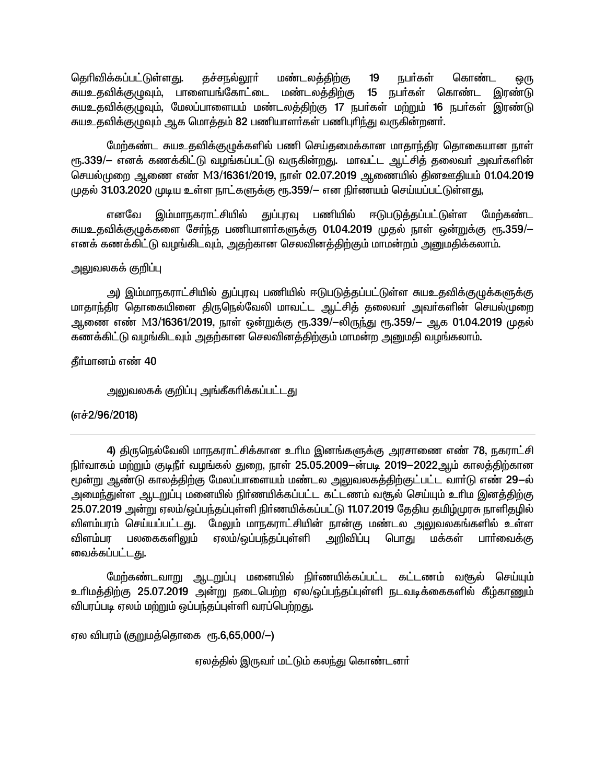தெரிவிக்கப்பட்டுள்ளது.  $19$ கச்சநல்லூர் மண்டலக்கிற்கு நபர்கள் கொண்ட ஒரு சுயஉதவிக்குழுவும், பாளையங்கோட்டை மண்டலத்திற்கு 15 நபா்கள் கொண்ட இரண்டு சுயஉதவிக்குழுவும், மேலப்பாளையம் மண்டலத்திற்கு 17 நபர்கள் மற்றும் 16 நபர்கள் இரண்டு சுயஉதவிக்குமுவும் ஆக மொத்தம் 82 பணியாளர்கள் பணிபுரிந்து வருகின்றனர்.

மேற்கண்ட சுயஉதவிக்குழுக்களில் பணி செய்தமைக்கான மாதாந்திர தொகையான நாள் ரூ.339/— எனக் கணக்கிட்டு வழங்கப்பட்டு வருகின்றது. மாவட்ட ஆட்சித் தலைவர் அவர்களின் செயல்முறை ஆணை எண் M3/16361/2019, நாள் 02.07.2019 ஆணையில் தினஊதியம் 01.04.2019 முதல் 31.03.2020 முடிய உள்ள நாட்களுக்கு ரூ.359/— என நிர்ணயம் செய்யப்பட்டுள்ளது,

துப்புரவு பணியில் எனவே இம்மாநகராட்சியில் ஈடுபடுத்தப்பட்டுள்ள மேற்கண்ட சுயஉதவிக்குழுக்களை சேர்ந்த பணியாளர்களுக்கு 01.04.2019 முதல் நாள் ஒன்றுக்கு ரூ.359/— எனக் கணக்கிட்டு வழங்கிடவும், அதற்கான செலவினத்திற்கும் மாமன்றம் அனுமதிக்கலாம்.

# அலுவலகக் குறிப்பு

அ) இம்மாநகராட்சியில் துப்புரவு பணியில் ஈடுபடுத்தப்பட்டுள்ள சுயஉதவிக்குழுக்களுக்கு மாதாந்திர தொகையினை திருநெல்வேலி மாவட்ட ஆட்சித் தலைவா் அவா்களின் செயல்முறை ஆணை எண் M3/16361/2019, நாள் ஒன்றுக்கு ரூ.339/—லிருந்து ரூ.359/— ஆக 01.04.2019 முதல் கணக்கிட்டு வழங்கிடவும் அதற்கான செலவினத்திற்கும் மாமன்ற அனுமதி வழங்கலாம்.

கீர்மானம் எண் 40

அலுவலகக் குறிப்பு அங்கீகரிக்கப்பட்டது

# (எச்2/96/2018)

4) திருநெல்வேலி மாநகராட்சிக்கான உரிம இனங்களுக்கு அரசாணை எண் 78, நகராட்சி நிர்வாகம் மற்றும் குடிநீர் வழங்கல் துறை, நாள் 25.05.2009—ன்படி 2019—2022ஆம் காலத்திற்கான மூன்று ஆண்டு காலத்திற்கு மேலப்பாளையம் மண்டல அலுவலகத்திற்குட்பட்ட வார்டு எண் 29—ல் அமைந்துள்ள ஆடறுப்பு மனையில் நிர்ணயிக்கப்பட்ட கட்டணம் வசூல் செய்யும் உரிம இனத்திற்கு 25.07.2019 அன்று ஏலம்/ஒப்பந்தப்புள்ளி நிர்ணயிக்கப்பட்டு 11.07.2019 தேதிய தமிழ்முரசு நாளிதழில் விளம்பரம் செய்யப்பட்டது. மேலும் மாநகராட்சியின் நான்கு மண்டல அலுவலகங்களில் உள்ள விளம்பர பலகைகளிலும் ஏலம்/ஒப்பந்தப்புள்ளி அறிவிப்பு பொது மக்கள் பார்வைக்கு வைக்கப்பட்டது.

மேற்கண்டவாறு ஆடறுப்பு மனையில் நிர்ணயிக்கப்பட்ட கட்டணம் வசூல் செய்யும் உரிமத்திற்கு 25.07.2019 அன்று நடைபெற்ற ஏல/ஒப்பந்தப்புள்ளி நடவடிக்கைகளில் கீழ்காணும் விபரப்படி ஏலம் மற்றும் ஒப்பந்தப்புள்ளி வரப்பெற்றது.

ஏல விபரம் (குறுமத்தொகை ரூ.6,65,000/—)

ஏலத்தில் இருவா் மட்டும் கலந்து கொண்டனா்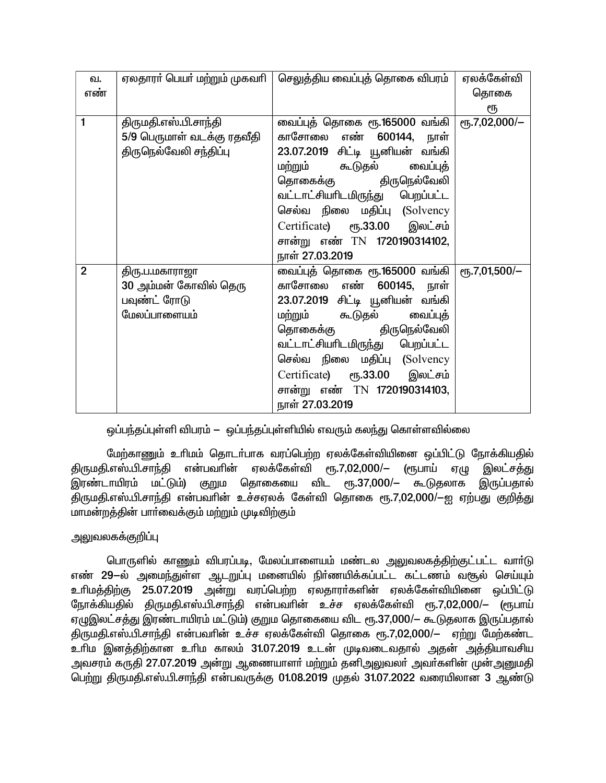| வ.             |                            | ஏலதாரா் பெயா் மற்றும் முகவாி $ $ செலுத்திய வைப்புத் தொகை விபரம் | ஏலக்கேள்வி             |
|----------------|----------------------------|-----------------------------------------------------------------|------------------------|
| எண்            |                            |                                                                 | தொகை                   |
|                |                            |                                                                 | ரூ                     |
| 1              | திருமதி.எஸ்.பி.சாந்தி      | வைப்புத் தொகை ரூ.165000 வங்கி                                   | еҧ.7,02,000/-          |
|                | 5/9 பெருமாள் வடக்கு ரதவீதி | காசோலை எண் <b>600144,</b><br>நாள்                               |                        |
|                | திருநெல்வேலி சந்திப்பு     | 23.07.2019 சிட்டி யூனியன் வங்கி                                 |                        |
|                |                            | மற்றும் கூடுதல் வைப்புத்                                        |                        |
|                |                            | தொகைக்கு திருநெல்வேலி                                           |                        |
|                |                            | வட்டாட்சியாிடமிருந்து பெறப்பட்ட                                 |                        |
|                |                            | செல்வ நிலை மதிப்பு (Solvency                                    |                        |
|                |                            | Certificate) ரூ.33.00 இலட்சம்                                   |                        |
|                |                            | சான்று எண் TN 1720190314102,                                    |                        |
|                |                            | நாள் 27.03.2019                                                 |                        |
| $\overline{2}$ | திரு.ப.மகாராஜா             | வைப்புத் தொகை ரூ.165000 வங்கி                                   | $\rm (F, 7, 01, 500/-$ |
|                | 30 அம்மன் கோவில் தெரு      | காசோலை எண் 600145, நாள்                                         |                        |
|                | பவுண்ட் ரோடு               | 23.07.2019 சிட்டி யூனியன் வங்கி                                 |                        |
|                | மேலப்பாளையம்               | மற்றும் கூடுதல் வைப்புத்                                        |                        |
|                |                            | தொகைக்கு திருநெல்வேலி                                           |                        |
|                |                            | வட்டாட்சியாிடமிருந்து பெறப்பட்ட                                 |                        |
|                |                            | செல்வ நிலை மதிப்பு (Solvency                                    |                        |
|                |                            | Certificate) ரூ.33.00 இலட்சம்                                   |                        |
|                |                            | சான்று எண் TN 1720190314103,                                    |                        |
|                |                            | நாள் 27.03.2019                                                 |                        |

<u>ஒப்பந்த</u>ப்புள்ளி விபரம் — ஒப்பந்தப்புள்ளியில் எவரும் கலந்து கொள்ளவில்லை

மேற்காணும் உரிமம் தொடர்பாக வரப்பெற்ற ஏலக்கேள்வியினை ஒப்பிட்டு நோக்கியதில் திருமதி.எஸ்.பி.சாந்தி என்பவரின் ஏலக்கேள்வி ரூ.7,02,000/— (ரூபாய் ஏழு இலட்சத்து<br>இரண்டாயிரம் மட்டும்) குறும தொகையை விட ரூ.37,000/— கூடுதலாக இருப்பகால் இரண்டாயிரம் மட்டும்) குறும தொகையை விட ரூ.37,000/— கூடுதலாக .<br>கிருமகி.எஸ்.பி.சாந்தி என்பவரின் உச்சஏலக் கேள்வி தொகை ரூ.7,02,000/—ஐ ஏற்பது குறித்து மாமன்றத்தின் பார்வைக்கும் மற்றும் முடிவிற்கும்

# அலுவலகக்குறிப்பு

பொருளில் காணும் விபரப்படி, மேலப்பாளையம் மண்டல அலுவலகத்திற்குட்பட்ட வாா்டு எண் 29-ல் அமைந்துள்ள ஆடறுப்பு மனையில் நிர்ணயிக்கப்பட்ட கட்டணம் வசூல் செய்யும் <u>உரிமத்திற்கு</u> 25.07.2019 அன்று வரப்பெற்ற ஏலதாரா்களின் ஏலக்கேள்வியினை ஒப்பிட்டு நோக்கியதில் திருமதி.எஸ்.பி.சாந்தி என்பவரின் உச்ச ஏலக்கேள்வி ரூ.7,02,000/— (ரூபாய் ஏழுஇலட்சத்து இரண்டாயிரம் மட்டும்) குறும தொகையை விட ரூ.37,000/— கூடுதலாக இருப்பதால் ்திருமதி.எஸ்.பி.சாந்தி என்பவரின் உச்ச ஏலக்கேள்வி தொகை ரூ.7,02,000/— ஏற்று மேற்கண்ட ்உரிம இனத்திற்கான உரிம காலம் 31.07.2019 உடன் முடிவடைவதால் அதன் அத்தியாவசிய அவசரம் கருதி 27.07.2019 அன்று ஆணையாளா் மற்றும் தனிஅலுவலா் அவா்களின் முன்அனுமதி ்<br>பெற்று திருமதி.எஸ்.பி.சாந்தி என்பவருக்கு 01.08.2019 முதல் 31.07.2022 வரையிலான 3 ஆண்டு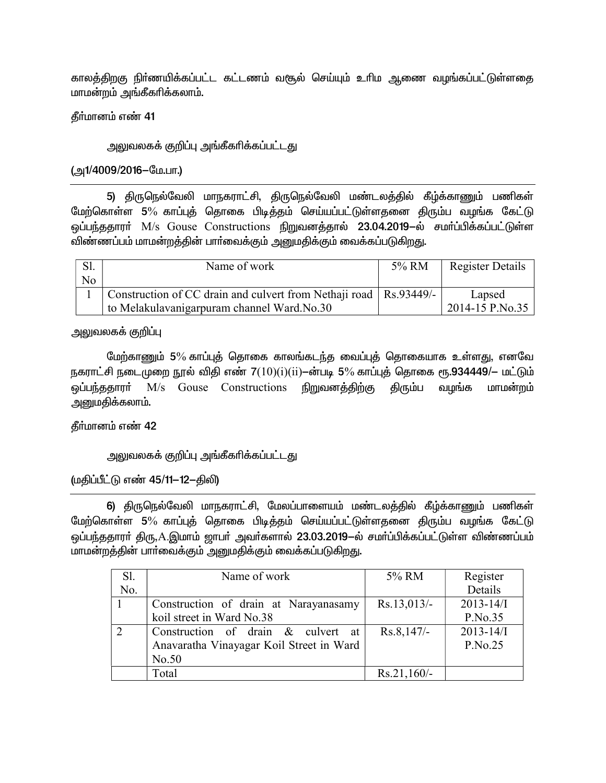காலத்திறகு நிர்ணயிக்கப்பட்ட கட்டணம் வசூல் செய்யும் உரிம ஆணை வழங்கப்பட்டுள்ளதை மாமன்றம் அங்கீகரிக்கலாம்.

கீர்மானம் எண் 41

அலுவலகக் குறிப்பு அங்கீகரிக்கப்பட்டது

(அ1/4009/2016–மே.பா.)

5) திருநெல்வேலி மாநகராட்சி, திருநெல்வேலி மண்டலத்தில் கீழ்க்காணும் பணிகள் மேற்கொள்ள 5% காப்புத் தொகை பிடித்தம் செய்யப்பட்டுள்ளதனை திரும்ப வழங்க கேட்டு ஒப்பந்ததாரா் M/s Gouse Constructions நிறுவனத்தால் 23.04.2019–ல் சமா்ப்பிக்கப்பட்டுள்ள .<br>விண்ணப்பம் மாமன்றத்தின் பாா்வைக்கும் அனுமதிக்கும் வைக்கப்படுகிறது.

| Sl. | Name of work                                                        | 5% RM | Register Details |
|-----|---------------------------------------------------------------------|-------|------------------|
| No  |                                                                     |       |                  |
|     | Construction of CC drain and culvert from Nethaji road   Rs.93449/- |       | Lapsed           |
|     | to Melakulavanigarpuram channel Ward.No.30                          |       | 2014-15 P.No.35  |

அலுவலகக் குறிப்பு

மேற்காணும் 5% காப்புத் தொகை காலங்கடந்த வைப்புத் தொகையாக உள்ளது, எனவே நகராட்சி நடைமுறை நூல் விதி எண்  $7(10)(i)(ii)$ —ன்படி 5% காப்புத் தொகை ரூ.934449/— மட்டும் ஒப்பந்ததாரா் M/s Gouse Constructions நிறுவனத்திற்கு கிரும்ப வமங்க மாமன்றம் அனுமதிக்கலாம்.

தீர்மானம் எண் 42

<u>அலுவலகக் குறிப்பு அங்கீகரிக்கப்பட்டது</u>

(மதிப்பீட்டு எண் 45/11-12-திலி)

6) திருநெல்வேலி மாநகராட்சி, மேலப்பாளையம் மண்டலத்தில் கீழ்க்காணும் பணிகள் மேற்கொள்ள 5% காப்புத் தொகை பிடித்தம் செய்யப்பட்டுள்ளதனை திரும்ப வழங்க கேட்டு ஒப்பந்ததாரா் திரு,A.இமாம் ஜாபா் அவா்களால் 23.03.2019—ல் சமா்ப்பிக்கப்பட்டுள்ள விண்ணப்பம் மாமன்றத்தின் பார்வைக்கும் அனுமதிக்கும் வைக்கப்படுகிறது.

| Sl. | Name of work                             | 5% RM          | Register       |
|-----|------------------------------------------|----------------|----------------|
| No. |                                          |                | Details        |
|     | Construction of drain at Narayanasamy    | $Rs.13,013/$ - | $2013 - 14$ /I |
|     | koil street in Ward No.38                |                | P.No.35        |
|     | Construction of drain & culvert at       | $Rs.8,147/-$   | $2013 - 14$ /I |
|     | Anavaratha Vinayagar Koil Street in Ward |                | P.No.25        |
|     | No.50                                    |                |                |
|     | Total                                    | $Rs.21,160/-$  |                |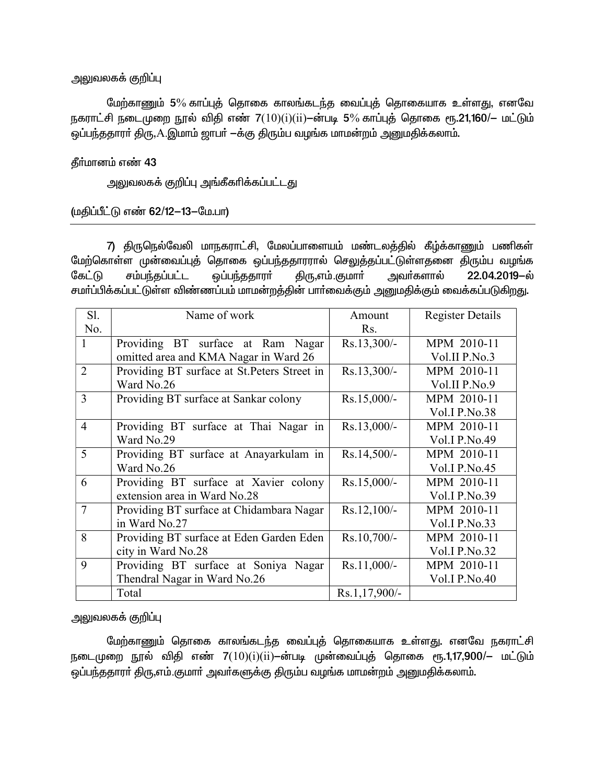### அலுவலகக் குறிப்பு

மேற்காணும் 5% காப்புத் தொகை காலங்கடந்த வைப்புத் தொகையாக உள்ளது, எனவே நகராட்சி நடைமுறை நூல் விதி எண்  $7(10)(i)(ii)$ —ன்படி 5% காப்புத் தொகை ரூ.21,160/— மட்டும் ஒப்பந்ததாரா் திரு, $\rm A$ .இமாம் ஜாபா்  $-$ க்கு திரும்ப வழங்க மாமன்றம் அனுமதிக்கலாம்.

## தீர்மானம் எண் 43

அலுவலகக் குறிப்பு அங்கீகரிக்கப்பட்ட<u>து</u>

(மதிப்பீட்டு எண் 62/12-13-மே.பா)

7) திருநெல்வேலி மாநகராட்சி, மேலப்பாளையம் மண்டலத்தில் கீழ்க்காணும் பணிகள் மேற்கொள்ள முன்வைப்புத் தொகை ஒப்பந்ததாரரால் செலுத்தப்பட்டுள்ளதனை திரும்ப வழங்க கேட்டு சம்பந்தப்பட்ட ஒப்பந்ததாரா் திரு,எம்.குமாா் அவா்களால் 22.04.2019–ல் சமா்ப்பிக்கப்பட்டுள்ள விண்ணப்பம் மாமன்றத்தின் பாா்வைக்கும் அனுமதிக்கும் வைக்கப்படுகி<u>றது</u>.

| Sl.            | Name of work                                 | Amount        | <b>Register Details</b> |
|----------------|----------------------------------------------|---------------|-------------------------|
| No.            |                                              | Rs.           |                         |
| 1              | Providing BT surface at Ram Nagar            | $Rs.13,300/-$ | MPM 2010-11             |
|                | omitted area and KMA Nagar in Ward 26        |               | Vol.II P.No.3           |
| $\overline{2}$ | Providing BT surface at St. Peters Street in | $Rs.13,300/-$ | MPM 2010-11             |
|                | Ward No.26                                   |               | Vol.II P.No.9           |
| 3              | Providing BT surface at Sankar colony        | $Rs.15,000/-$ | MPM 2010-11             |
|                |                                              |               | <b>Vol.I P.No.38</b>    |
| $\overline{4}$ | Providing BT surface at Thai Nagar in        | $Rs.13,000/-$ | MPM 2010-11             |
|                | Ward No.29                                   |               | Vol.I $P.No.49$         |
| 5              | Providing BT surface at Anayarkulam in       | $Rs.14,500/-$ | MPM 2010-11             |
|                | Ward No.26                                   |               | <b>Vol.I P.No.45</b>    |
| 6              | Providing BT surface at Xavier colony        | $Rs.15,000/-$ | MPM 2010-11             |
|                | extension area in Ward No.28                 |               | Vol.I P.No.39           |
| $\overline{7}$ | Providing BT surface at Chidambara Nagar     | $Rs.12,100/-$ | MPM 2010-11             |
|                | in Ward No.27                                |               | Vol.I P.No.33           |
| 8              | Providing BT surface at Eden Garden Eden     | $Rs.10,700/-$ | MPM 2010-11             |
|                | city in Ward No.28                           |               | Vol.I P.No.32           |
| 9              | Providing BT surface at Soniya Nagar         | $Rs.11,000/-$ | MPM 2010-11             |
|                | Thendral Nagar in Ward No.26                 |               | <b>Vol.I P.No.40</b>    |
|                | Total                                        | Rs.1,17,900/- |                         |

அலுவலகக் குறிப்பு

மேற்காணும் தொகை காலங்கடந்த வைப்புத் தொகையாக உள்ளது. எனவே நகராட்சி நடைமுறை நூல் விதி எண் 7 $(10)(i)(ii)$ –ன்படி முன்வைப்புத் தொகை ரூ.1,17,900/– மட்டும் ஒப்பந்ததாரா் திரு,எம்.குமாா் அவா்களுக்கு திரும்ப வழங்க மாமன்றம் அனுமதிக்கலாம்.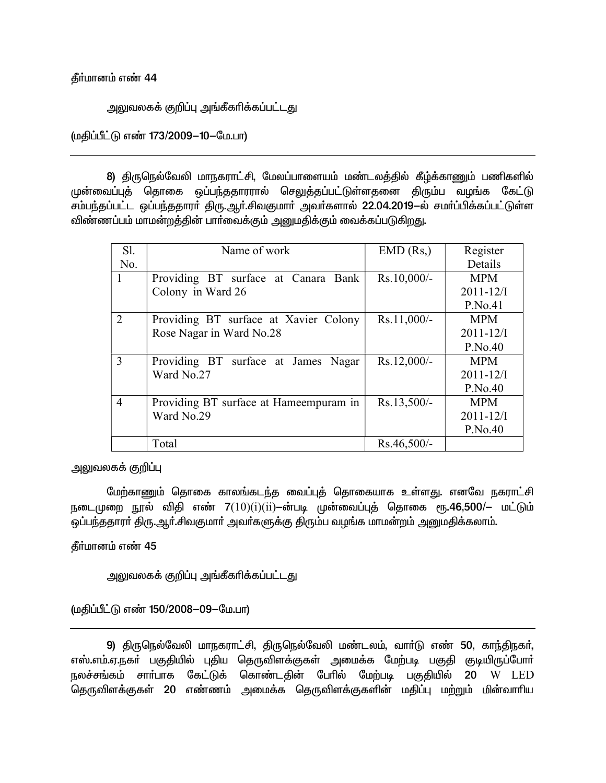#### கீர்மானம் எண் 44

<u>அலு</u>வலகக் குறிப்பு அங்கீகரிக்கப்பட்டது

(மதிப்பீட்டு எண் 173/2009-10-மே.பா)

8) திருநெல்வேலி மாநகராட்சி, மேலப்பாளையம் மண்டலத்தில் கீழ்க்காணும் பணிகளில் முன்வைப்புத் தொகை ஒப்பந்ததாரரால் செலுத்தப்பட்டுள்ளதனை திரும்ப வழங்க கேட்டு சம்பந்தப்பட்ட ஒப்பந்ததாரா் திரு.ஆா்.சிவகுமாா் அவா்களால் 22.04.2019-ல் சமா்ப்பிக்கப்பட்டுள்ள விண்ணப்பம் மாமன்றத்தின் பாா்வைக்கும் அனுமதிக்கும் வைக்கப்படுகிறது.

| Sl.            | Name of work                            | $EMD$ (Rs.)   | Register       |
|----------------|-----------------------------------------|---------------|----------------|
| No.            |                                         |               | Details        |
| $\mathbf{1}$   | Providing BT surface at Canara Bank     | Rs.10,000/-   | <b>MPM</b>     |
|                | Colony in Ward 26                       |               | $2011 - 12/I$  |
|                |                                         |               | P.No.41        |
| 2              | Providing BT surface at Xavier Colony   | Rs.11,000/-   | <b>MPM</b>     |
|                | Rose Nagar in Ward No.28                |               | $2011 - 12/I$  |
|                |                                         |               | P.No.40        |
| 3              | Providing BT surface at James Nagar     | Rs.12,000/-   | <b>MPM</b>     |
|                | Ward No.27                              |               | $2011 - 12$ /I |
|                |                                         |               | P.No.40        |
| $\overline{4}$ | Providing BT surface at Hame empuram in | $Rs.13,500/-$ | <b>MPM</b>     |
|                | Ward No.29                              |               | $2011 - 12/I$  |
|                |                                         |               | P.No.40        |
|                | Total                                   | $Rs.46,500/-$ |                |

அலுவலகக் குறிப்பு

மேற்காணும் தொகை காலங்கடந்த வைப்புத் தொகையாக உள்ளது. எனவே நகராட்சி நடைமுறை நூல் விதி எண்  $7(10)(i)(ii)$ —ன்படி முன்வைப்புத் தொகை ரூ.46,500/— மட்டும் ஒப்பந்ததாரா் திரு.ஆா்.சிவகுமாா் அவா்களுக்கு திரும்ப வழங்க மாமன்றம் அனுமதிக்கலாம்.

தீா்மானம் எண் 45

அலுவலகக் குறிப்பு அங்கீகாிக்கப்பட்டது

(மதிப்பீட்டு எண் 150/2008-09-மே.பா)

9) திருநெல்வேலி மாநகராட்சி, திருநெல்வேலி மண்டலம், வாா்டு எண் 50, காந்திநகா், எஸ்.எம்.ஏ.நகா் பகுதியில் புதிய தெருவிளக்குகள் அமைக்க மேற்படி பகுதி குடியிருப்போா் நலச்சங்கம் சாா்பாக கேட்டுக் கொண்டதின் பேரில் மேற்படி பகுதியில் 20 W LED தெருவிளக்குகள் 20 எண்ணம் அமைக்க தெருவிளக்குகளின் மதிப்பு மற்றும் மின்வாரிய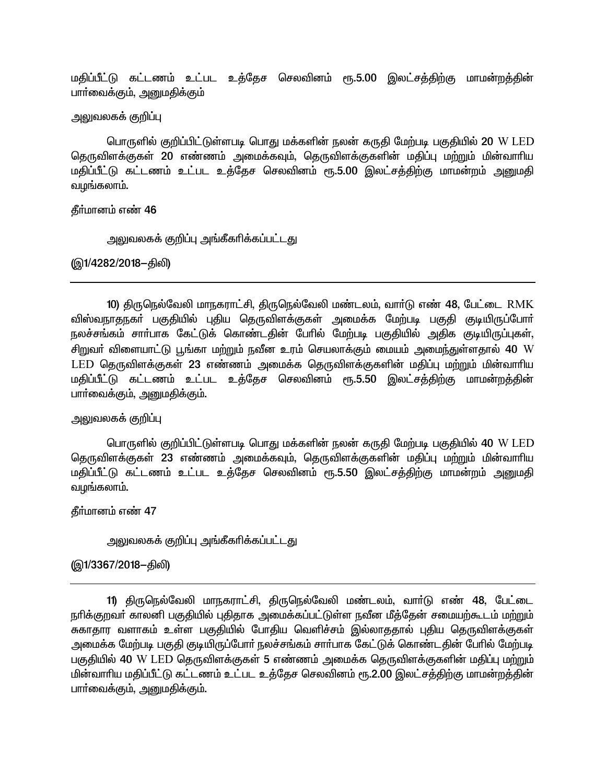மதிப்பீட்டு கட்டணம் உட்பட உத்தேச செலவினம் ரூ.5.00 இலட்சத்திற்கு மாமன்றத்தின் பாா்வைக்கும், அனுமதிக்கும்

அலுவலகக் குறிப்பு

பொருளில் குறிப்பிட்டுள்ளபடி பொது மக்களின் நலன் கருதி மேற்படி பகுதியில் 20 W LED தெருவிளக்குகள் 20 எண்ணம் அமைக்கவும், தெருவிளக்குகளின் மதிப்பு மற்றும் மின்வாரிய மதிப்பீட்டு கட்டணம் உட்பட உத்தேச செலவினம் ரூ.5.00 இலட்சத்திற்கு மாமன்றம் அனுமதி வழங்கலாம்.

தீர்மானம் எண் 46

<u>அலுவலகக் குறிப்பு அங்கீகரிக்கப்பட்டது</u>

(இ1/4282/2018-கிலி)

10) திருநெல்வேலி மாநகராட்சி, திருநெல்வேலி மண்டலம், வார்டு எண் 48, பேட்டை RMK விஸ்வநாதநகா் பகுதியில் புதிய தெருவிளக்குகள் அமைக்க மேற்படி பகுதி குடியிருப்போா் நலச்சங்கம் சாா்பாக கேட்டுக் கொண்டதின் பேரில் மேற்படி பகுதியில் அதிக குடியிருப்புகள், சிறுவா் விளையாட்டு பூங்கா மற்றும் நவீன உரம் செயலாக்கும் மையம் அமைந்துள்ளதால் 40 W LED தெருவிளக்குகள் 23 எண்ணம் அமைக்க தெருவிளக்குகளின் மதிப்பு மற்றும் மின்வாரிய மதிப்பீட்டு கட்டணம் உட்பட உத்தேச செலவினம் ரூ.5.50 இலட்சத்திற்கு மாமன்றத்தின் பார்வைக்கும், அனுமகிக்கும்.

அலுவலகக் குறிப்பு

பொருளில் குறிப்பிட்டுள்ளபடி பொது மக்களின் நலன் கருதி மேற்படி பகுதியில் 40 W LED தெருவிளக்குகள் 23 எண்ணம் அமைக்கவும், தெருவிளக்குகளின் மதிப்பு மற்றும் மின்வாரிய மதிப்பீட்டு கட்டணம் உட்பட உத்தேச செலவினம் ரூ.5.50 இலட்சத்திற்கு மாமன்றம் அனுமதி வழங்கலாம்.

தீர்மானம் எண் 47

அலுவலகக் குறிப்பு அங்கீகரிக்கப்பட்டது

(இ1/3367/2018–திலி)

11) திருநெல்வேலி மாநகராட்சி, திருநெல்வேலி மண்டலம், வார்டு எண் 48, பேட்டை நூிக்குறவர் காலனி பகுதியில் புதிதாக அமைக்கப்பட்டுள்ள நவீன மீத்தேன் சமையற்கூடம் மற்றும் சுகாதார வளாகம் உள்ள பகுதியில் போதிய வெளிச்சம் இல்லாததால் புதிய தெருவிளக்குகள் அமைக்க மேற்படி பகுதி குடியிருப்போர் நலச்சங்கம் சார்பாக கேட்டுக் கொண்டதின் பேரில் மேற்படி பகுதியில் 40 W LED தெருவிளக்குகள் 5 எண்ணம் அமைக்க தெருவிளக்குகளின் மதிப்பு மற்றும் மின்வாரிய மதிப்பீட்டு கட்டணம் உட்பட உத்தேச செலவினம் ரூ.2.00 இலட்சத்திற்கு மாமன்றத்தின் பார்வைக்கும், அனுமகிக்கும்.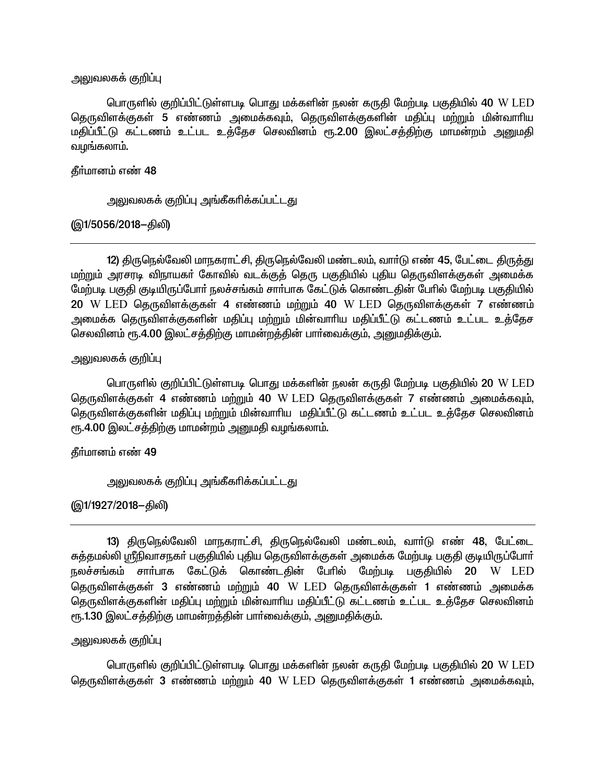<u>அலுவலகக் குறிப்பு</u>

பொருளில் குறிப்பிட்டுள்ளபடி பொது மக்களின் நலன் கருதி மேற்படி பகுதியில் 40 W LED தெருவிளக்குகள் 5 எண்ணம் அமைக்கவும், தெருவிளக்குகளின் மதிப்பு மற்றும் மின்வாரிய மதிப்பீட்டு கட்டணம் உட்பட உத்தேச செலவினம் ரூ.2.00 இலட்சத்திற்கு மாமன்றம் அனுமதி வழங்கலாம்.

தீர்மானம் எண் 48

அலுவலகக் குறிப்பு அங்கீகரிக்கப்பட்டது

(இ1/5056/2018-திலி)

12) திருநெல்வேலி மாநகராட்சி, திருநெல்வேலி மண்டலம், வார்டு எண் 45, பேட்டை திருத்து மற்றும் அரசரடி விநாயகா் கோவில் வடக்குத் தெரு பகுதியில் புதிய தெருவிளக்குகள் அமைக்க மேற்படி பகுதி குடியிருப்போர் நலச்சங்கம் சார்பாக கேட்டுக் கொண்டதின் பேரில் மேற்படி பகுகியில் 20 W LED தெருவிளக்குகள் 4 எண்ணம் மற்றும் 40 W LED தெருவிளக்குகள் 7 எண்ணம் அமைக்க தெருவிளக்குகளின் மதிப்பு மற்றும் மின்வாரிய மதிப்பீட்டு கட்டணம் உட்பட உத்தேச செலவினம் ரூ.4.00 இலட்சத்திற்கு மாமன்றத்தின் பார்வைக்கும், அனுமதிக்கும்.

அலுவலகக் குறிப்பு

பொருளில் குறிப்பிட்டுள்ளபடி பொது மக்களின் நலன் கருதி மேற்படி பகுதியில் 20 W LED தெருவிளக்குகள் 4 எண்ணம் மற்றும் 40 W LED தெருவிளக்குகள் 7 எண்ணம் அமைக்கவும், தெருவிளக்குகளின் மதிப்பு மற்றும் மின்வாரிய மதிப்பீட்டு கட்டணம் உட்பட உத்தேச செலவினம் ரூ.4.00 இலட்சத்திற்கு மாமன்றம் அனுமதி வழங்கலாம்.

தீர்மானம் எண் 49

அலுவலகக் குறிப்பு அங்கீகரிக்கப்பட்டது

(இ1/1927/2018–திலி)

13) திருநெல்வேலி மாநகராட்சி, திருநெல்வேலி மண்டலம், வார்டு எண் 48, பேட்டை சுத்தமல்லி ஸ்ரீநிவாசநகர் பகுதியில் புதிய தெருவிளக்குகள் அமைக்க மேற்படி பகுதி குடியிருப்போர் நலச்சங்கம் சாா்பாக கேட்டுக் கொண்டதின் பேரில் மேற்படி பகுதியில் 20 W LED தெருவிளக்குகள் 3 எண்ணம் மற்றும் 40 W LED தெருவிளக்குகள் 1 எண்ணம் அமைக்க தெருவிளக்குகளின் மதிப்பு மற்றும் மின்வாரிய மதிப்பீட்டு கட்டணம் உட்பட உத்தேச செலவினம் ரூ.1.30 இலட்சத்திற்கு மாமன்றத்தின் பார்வைக்கும், அனுமதிக்கும்.

### அலுவலகக் குறிப்பு

பொருளில் குறிப்பிட்டுள்ளபடி பொது மக்களின் நலன் கருதி மேற்படி பகுதியில் 20 W LED தெருவிளக்குகள் 3 எண்ணம் மற்றும் 40 W LED தெருவிளக்குகள் 1 எண்ணம் அமைக்கவும்,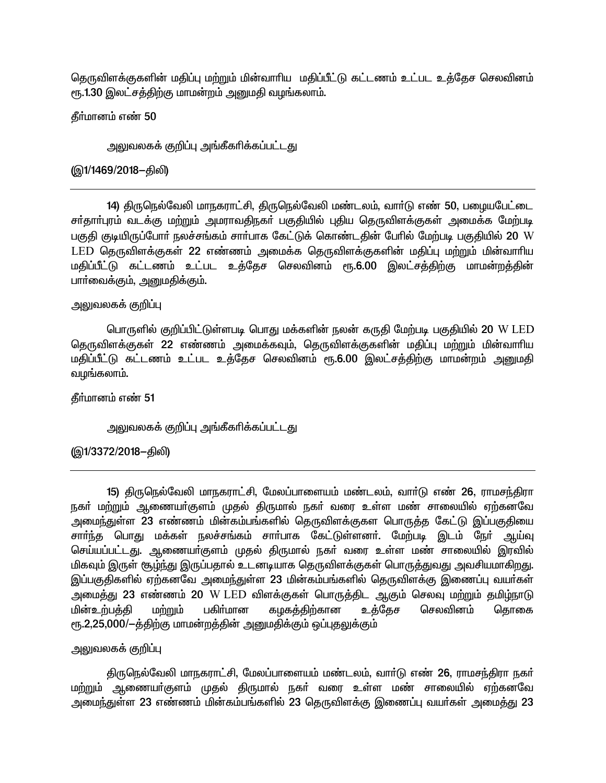தெருவிளக்குகளின் மதிப்பு மற்றும் மின்வாரிய மதிப்பீட்டு கட்டணம் உட்பட உத்தேச செலவினம் ரூ.1.30 இலட்சத்திற்கு மாமன்றம் அனுமதி வழங்கலாம்.

கீர்மானம் எண் 50

அலுவலகக் குறிப்பு அங்கீகரிக்கப்பட்டது

(இ1/1469/2018–திலி)

14) திருநெல்வேலி மாநகராட்சி, திருநெல்வேலி மண்டலம், வார்டு எண் 50, பழையபேட்டை சா்தாா்புரம் வடக்கு மற்றும் அமராவதிநகா் பகுதியில் புதிய தெருவிளக்குகள் அமைக்க மேற்படி பகுதி குடியிருப்போர் நலச்சங்கம் சார்பாக கேட்டுக் கொண்டதின் பேரில் மேற்படி பகுதியில் 20 W LED தெருவிளக்குகள் 22 எண்ணம் அமைக்க தெருவிளக்குகளின் மதிப்பு மற்றும் மின்வாரிய மதிப்பீட்டு கட்டணம் உட்பட உத்தேச செலவினம் ரூ.6.00 இலட்சத்திற்கு மாமன்றத்தின் பாா்வைக்கும், அனுமதிக்கும்.

# அலுவலகக் குறிப்பு

பொருளில் குறிப்பிட்டுள்ளபடி பொது மக்களின் நலன் கருதி மேற்படி பகுதியில் 20 W LED தெருவிளக்குகள் 22 எண்ணம் அமைக்கவும், தெருவிளக்குகளின் மதிப்பு மற்றும் மின்வாரிய மதிப்பீட்டு கட்டணம் உட்பட உத்தேச செலவினம் ரூ.6.00 இலட்சத்திற்கு மாமன்றம் அனுமதி வழங்கலாம்.

தீர்மானம் எண் 51

அலுவலகக் குறிப்பு அங்கீகரிக்கப்பட்டது

(இ1/3372/2018–திலி)

15) திருநெல்வேலி மாநகராட்சி, மேலப்பாளையம் மண்டலம், வார்டு எண் 26, ராமசந்திரா நகர் மற்றும் ஆணையர்குளம் முதல் திருமால் நகர் வரை உள்ள மண் சாலையில் ஏற்கனவே அமைந்துள்ள 23 எண்ணம் மின்கம்பங்களில் தெருவிளக்குகள பொருத்த கேட்டு இப்பகுதியை சார்ந்த பொது மக்கள் நலச்சங்கம் சார்பாக கேட்டுள்ளனர். மேற்படி இடம் நேர் ஆய்வு செய்யப்பட்டது. ஆணையா்குளம் முதல் திருமால் நகா் வரை உள்ள மண் சாலையில் இரவில் மிகவும் இருள் சூழ்ந்து இருப்பதால் உடனடியாக தெருவிளக்குகள் பொருத்துவது அவசியமாகிறது. இப்பகுதிகளில் ஏற்கனவே அமைந்துள்ள 23 மின்கம்பங்களில் தெருவிளக்கு இணைப்பு வயா்கள் அமைத்து 23 எண்ணம் 20 W LED விளக்குகள் பொருத்திட ஆகும் செலவு மற்றும் தமிழ்நாடு மின்உற்பத்தி மற்றும் பகிா்மான கழகத்திற்கான உக்கேச செலவினம் தொகை ரூ.2,25,000/-த்திற்கு மாமன்றத்தின் அனுமதிக்கும் ஒப்புதலுக்கும்

### அலுவலகக் குறிப்பு

திருநெல்வேலி மாநகராட்சி, மேலப்பாளையம் மண்டலம், வார்டு எண் 26, ராமசந்திரா நகர் மற்றும் ஆணையா்குளம் முதல் திருமால் நகா் வரை உள்ள மண் சாலையில் ஏற்கனவே அமைந்துள்ள 23 எண்ணம் மின்கம்பங்களில் 23 தெருவிளக்கு இணைப்பு வயர்கள் அமைத்து 23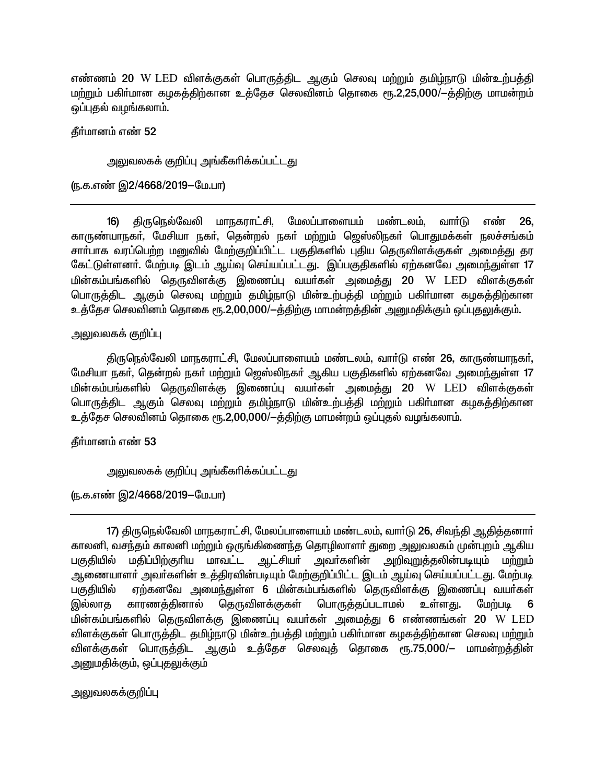எண்ணம் 20 W LED விளக்குகள் பொருத்திட ஆகும் செலவு மற்றும் தமிழ்நாடு மின்உற்பத்தி மற்றும் பகிர்மான கழகத்திற்கான உத்தேச செலவினம் தொகை ரூ.2,25,000/-த்திற்கு மாமன்றம் ஒப்புதல் வழங்கலாம்.

தீர்மானம் எண் 52

<u>அலுவலகக் குறிப்பு அங்கீகரிக்கப்பட்டது</u>

(ந.க.எண் இ2/4668/2019-மே.பா)

16) திருநெல்வேலி மாநகராட்சி, மேலப்பாளையம் மண்டலம், வார்டு எண் 26. காருண்யாநகர், மேசியா நகர், தென்றல் நகர் மற்றும் ஜெஸ்லிநகர் பொதுமக்கள் நலச்சங்கம் சாா்பாக வரப்பெற்ற மனுவில் மேற்குறிப்பிட்ட பகுதிகளில் புதிய தெருவிளக்குகள் அமைத்து தர கேட்டுள்ளனர். மேற்படி இடம் ஆய்வு செய்யப்பட்டது. இப்பகுதிகளில் ஏற்கனவே அமைந்துள்ள 17 மின்கம்பங்களில் தெருவிளக்கு இணைப்பு வயர்கள் அமைத்து 20 W LED விளக்குகள் பொருத்திட ஆகும் செலவு மற்றும் தமிழ்நாடு மின்உற்பத்தி மற்றும் பகிர்மான கழகத்திற்கான உத்தேச செலவினம் தொகை ரூ.2,00,000/-த்திற்கு மாமன்றத்தின் அனுமதிக்கும் ஒப்புதலுக்கும்.

அலுவலகக் குறிப்பு

திருநெல்வேலி மாநகராட்சி, மேலப்பாளையம் மண்டலம், வார்டு எண் 26, காருண்யாநகர், மேசியா நகர், தென்றல் நகர் மற்றும் ஜெஸ்லிநகர் ஆகிய பகுதிகளில் ஏற்கனவே அமைந்துள்ள 17 மின்கம்பங்களில் தெருவிளக்கு இணைப்பு வயர்கள் அமைத்து 20 W LED விளக்குகள் பொருத்திட ஆகும் செலவு மற்றும் தமிழ்நாடு மின்உற்பத்தி மற்றும் பகிர்மான கழகத்திற்கான உத்தேச செலவினம் தொகை ரூ.2,00,000/—த்திற்கு மாமன்றம் ஒப்புதல் வழங்கலாம்.

தீர்மானம் எண் 53

அலுவலகக் குறிப்பு அங்கீகரிக்கப்பட்டது

(ந.க.எண் இ2/4668/2019-மே.பா)

17) திருநெல்வேலி மாநகராட்சி, மேலப்பாளையம் மண்டலம், வாா்டு 26, சிவந்தி ஆதித்தனாா் காலனி, வசந்தம் காலனி மற்றும் ஒருங்கிணைந்த தொழிலாளர் துறை அலுவலகம் முன்புறம் ஆகிய பகுதியில் மதிப்பிற்குரிய மாவட்ட ஆட்சியர் அவர்களின் அறிவுறுத்தலின்படியும் மற்றும் ஆணையாளா் அவா்களின் உத்திரவின்படியும் மேற்குறிப்பிட்ட இடம் ஆய்வு செய்யப்பட்டது. மேற்படி ஏற்கனவே அமைந்துள்ள 6 மின்கம்பங்களில் தெருவிளக்கு இணைப்பு வயர்கள் பகுதியில் இல்லாத காரணத்தினால் தெருவிளக்குகள் பொருத்தப்படாமல் உள்ளது. மேற்படி 6 மின்கம்பங்களில் தெருவிளக்கு இணைப்பு வயா்கள் அமைத்து 6 எண்ணங்கள் 20 W LED விளக்குகள் பொருத்திட தமிழ்நாடு மின்உற்பத்தி மற்றும் பகிர்மான கழகத்திற்கான செலவு மற்றும் விளக்குகள் பொருத்திட ஆகும் உத்தேச செலவுத் தொகை ரூ.75,000/— மாமன்றத்தின் அனுமதிக்கும், ஒப்புதலுக்கும்

அலுவலகக்குறிப்பு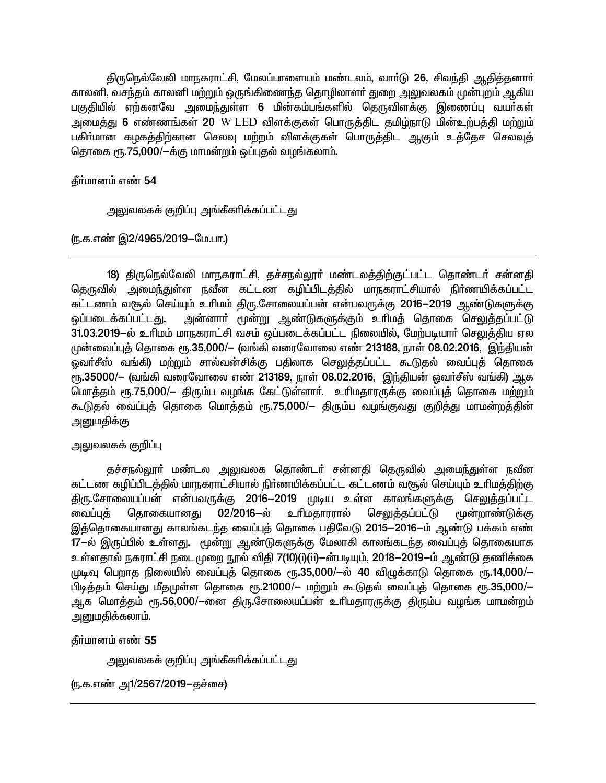திருநெல்வேலி மாநகராட்சி, மேலப்பாளையம் மண்டலம், வாா்டு 26, சிவந்தி ஆதித்தனாா் காலனி, வசந்தம் காலனி மற்றும் ஒருங்கிணைந்த தொழிலாளா் துறை அலுவலகம் முன்புறம் ஆகிய பகுதியில் ஏற்கனவே அமைந்துள்ள 6 மின்கம்பங்களில் தெருவிளக்கு இணைப்பு வயா்கள் அமைத்து 6 எண்ணங்கள் 20 W LED விளக்குகள் பொருத்திட தமிழ்நாடு மின்உற்பத்தி மற்றும் பகிர்மான கழகத்திற்கான செலவு மற்றம் விளக்குகள் பொருத்திட ஆகும் உத்தேச செலவுத் தொகை ரூ.75,000/-க்கு மாமன்றம் ஒப்புதல் வழங்கலாம்.

தீர்மானம் எண் 54

அலுவலகக் குறிப்பு அங்கீகரிக்கப்பட்டது

(ந.க.எண் இ2/4965/2019-மே.பா.)

18) திருநெல்வேலி மாநகராட்சி, தச்சநல்லூா் மண்டலத்திற்குட்பட்ட தொண்டா் சன்னதி தெருவில் அமைந்துள்ள நவீன கட்டண கழிப்பிடத்தில் மாநகராட்சியால் நிர்ணயிக்கப்பட்ட கட்டணம் வரூல் செய்யும் உரிமம் திரு.சோலையப்பன் என்பவருக்கு 2016—2019 ஆண்டுகளுக்கு அன்னாா் மூன்று ஆண்டுகளுக்கும் உாிமத் தொகை செலுத்தப்பட்டு <u>ஒப்படைக்கப்பட்டது.</u> 31.03.2019-ல் உரிமம் மாநகராட்சி வசம் ஒப்படைக்கப்பட்ட நிலையில், மேற்படியார் செலுக்கிய ஏல முன்வைப்புத் தொகை ரூ.35,000/— (வங்கி வரைவோலை எண் 213188, நாள் 08.02.2016, இந்தியன் ஒவர்சீஸ் வங்கி) மற்றும் சால்வன்சிக்கு பதிலாக செலுக்கப்பட்ட கூடுகல் வைப்புக் தொகை ரு.35000/- (வங்கி வரைவோலை எண் 213189, நாள் 08.02.2016, இந்தியன் ஒவர்சீஸ் வங்கி) ஆக மொத்தம் ரூ.75,000/— திரும்ப வழங்க கேட்டுள்ளாா். உாிமதாரருக்கு வைப்புத் தொகை மற்றும் கூடுதல் வைப்புத் தொகை மொத்தம் ரூ.75,000/— திரும்ப வழங்குவது குறித்து மாமன்றத்தின் அனுமகிக்கு

அலுவலகக் குறிப்பு

தச்சநல்லூா் மண்டல அலுவலக தொண்டா் சன்னதி தெருவில் அமைந்துள்ள நவீன கட்டண கழிப்பிடத்தில் மாநகராட்சியால் நிர்ணயிக்கப்பட்ட கட்டணம் வசூல் செய்யும் உரிமத்திற்கு திரு.சோலையப்பன் என்பவருக்கு 2016-2019 முடிய உள்ள காலங்களுக்கு செலுத்தப்பட்ட 02/2016-ல் உரிமகாரரால் செலுக்கப்பட்டு வைப்பக் தொகையானது மூன்றாண்டுக்கு இத்தொகையானது காலங்கடந்த வைப்புத் தொகை பதிவேடு 2015—2016—ம் ஆண்டு பக்கம் எண் 17—ல் இருப்பில் உள்ளது. மூன்று ஆண்டுகளுக்கு மேலாகி காலங்கடந்த வைப்புத் தொகையாக உள்ளதால் நகராட்சி நடைமுறை நூல் விதி 7(10)(ப்(ப்)–ன்படியும், 2018–2019–ம் ஆண்டு தணிக்கை முடிவு பெறாகு நிலையில் வைப்புக் கொகை ரூ.35,000/—ல் 40 விமுக்காடு கொகை ரூ.14,000/— பிடித்தம் செய்து மீதமுள்ள தொகை ரூ.21000/— மற்றும் கூடுதல் வைப்புத் தொகை ரூ.35,000/— ஆக மொத்தம் ரூ.56,000/—னை திரு.சோலையப்பன் உரிமதாரருக்கு திரும்ப வழங்க மாமன்றம் அனுமதிக்கலாம்.

தீர்மானம் எண் 55

அலுவலகக் குறிப்பு அங்கீகரிக்கப்பட்டது

(ந.க.எண் அ1/2567/2019–தச்சை)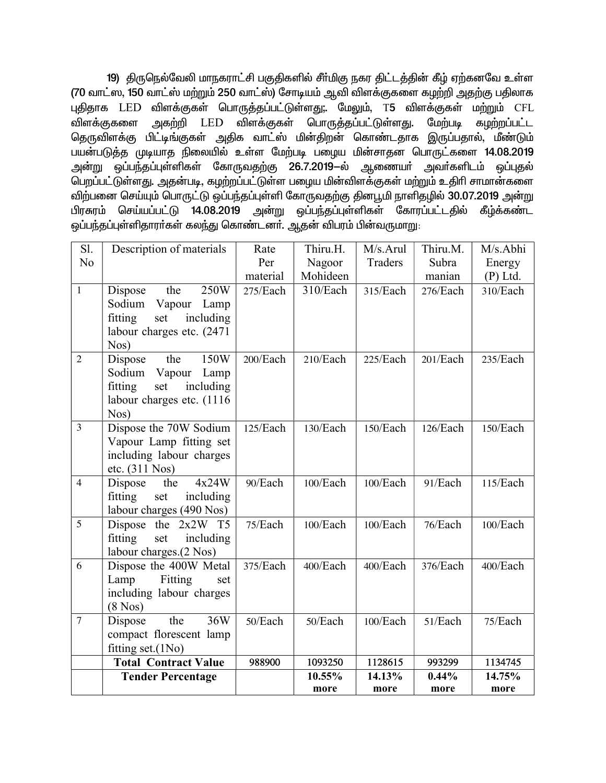19) திருநெல்வேலி மாநகராட்சி பகுதிகளில் சீர்மிகு நகர திட்டத்தின் கீழ் ஏற்கனவே உள்ள (70 வாட்ஸ், 150 வாட்ஸ் மற்றும் 250 வாட்ஸ்) சோடியம் ஆவி விளக்குகளை கழற்றி அதற்கு பதிலாக புதிதாக LED விளக்குகள் பொருத்தப்பட்டுள்ளது;. மேலும், T5 விளக்குகள் மற்றும் CFL அகற்றி LED விளக்குகள் பொருத்தப்பட்டுள்ளது. விளக்குகளை மேற்படி கழற்றப்பட்ட தெருவிளக்கு பிட்டிங்குகள் அதிக வாட்ஸ் மின்திறன் கொண்டதாக இருப்பதால், மீண்டும் பயன்படுத்த முடியாத நிலையில் உள்ள மேற்படி பழைய மின்சாதன பொருட்களை 14.08.2019 அன்று ஒப்பந்தப்புள்ளிகள் கோருவதற்கு 26.7.2019—ல் ஆணையா அவா்களிடம் ஒப்புதல் பெறப்பட்டுள்ளது. அதன்படி, கழற்றப்பட்டுள்ள பழைய மின்விளக்குகள் மற்றும் உதிரி சாமான்களை விற்பனை செய்யும் பொருட்டு ஒப்பந்தப்புள்ளி கோருவதற்கு தினபூமி நாளிதழில் 30.07.2019 அன்று செய்யப்பட்டு 14.08.2019 அன்று ஒப்பந்தப்புள்ளிகள் கோரப்பட்டதில் கீழ்க்கண்ட பிரசுரம் ஒப்பந்தப்புள்ளிதாரா்கள் கலந்து கொண்டனா். ஆதன் விபரம் பின்வருமாறு:

| Sl.            | Description of materials                          | Rate     | Thiru.H. | M/s.Arul | Thiru.M. | M/s.Abhi   |
|----------------|---------------------------------------------------|----------|----------|----------|----------|------------|
| N <sub>o</sub> |                                                   | Per      | Nagoor   | Traders  | Subra    | Energy     |
|                |                                                   | material | Mohideen |          | manian   | $(P)$ Ltd. |
| $\mathbf{1}$   | the<br>250W<br>Dispose                            | 275/Each | 310/Each | 315/Each | 276/Each | 310/Each   |
|                | Sodium Vapour Lamp                                |          |          |          |          |            |
|                | fitting<br>set<br>including                       |          |          |          |          |            |
|                | labour charges etc. (2471                         |          |          |          |          |            |
|                | Nos)                                              |          |          |          |          |            |
| $\overline{2}$ | 150W<br>Dispose<br>the                            | 200/Each | 210/Each | 225/Each | 201/Each | 235/Each   |
|                | Sodium Vapour Lamp<br>fitting<br>set<br>including |          |          |          |          |            |
|                | labour charges etc. (1116)                        |          |          |          |          |            |
|                | Nos)                                              |          |          |          |          |            |
| $\overline{3}$ | Dispose the 70W Sodium                            | 125/Each | 130/Each | 150/Each | 126/Each | 150/Each   |
|                | Vapour Lamp fitting set                           |          |          |          |          |            |
|                | including labour charges                          |          |          |          |          |            |
|                | etc. (311 Nos)                                    |          |          |          |          |            |
| $\overline{4}$ | Dispose<br>4x24W<br>the                           | 90/Each  | 100/Each | 100/Each | 91/Each  | 115/Each   |
|                | fitting<br>set<br>including                       |          |          |          |          |            |
|                | labour charges (490 Nos)                          |          |          |          |          |            |
| 5              | Dispose the 2x2W T5                               | 75/Each  | 100/Each | 100/Each | 76/Each  | 100/Each   |
|                | including<br>fitting<br>set                       |          |          |          |          |            |
| 6              | labour charges.(2 Nos)                            | 375/Each | 400/Each | 400/Each | 376/Each | 400/Each   |
|                | Dispose the 400W Metal<br>Lamp<br>Fitting<br>set  |          |          |          |          |            |
|                | including labour charges                          |          |          |          |          |            |
|                | $(8$ Nos $)$                                      |          |          |          |          |            |
| $\overline{7}$ | 36W<br>the<br>Dispose                             | 50/Each  | 50/Each  | 100/Each | 51/Each  | 75/Each    |
|                | compact florescent lamp                           |          |          |          |          |            |
|                | fitting set.(1No)                                 |          |          |          |          |            |
|                | <b>Total Contract Value</b>                       | 988900   | 1093250  | 1128615  | 993299   | 1134745    |
|                | <b>Tender Percentage</b>                          |          | 10.55%   | 14.13%   | 0.44%    | 14.75%     |
|                |                                                   |          | more     | more     | more     | more       |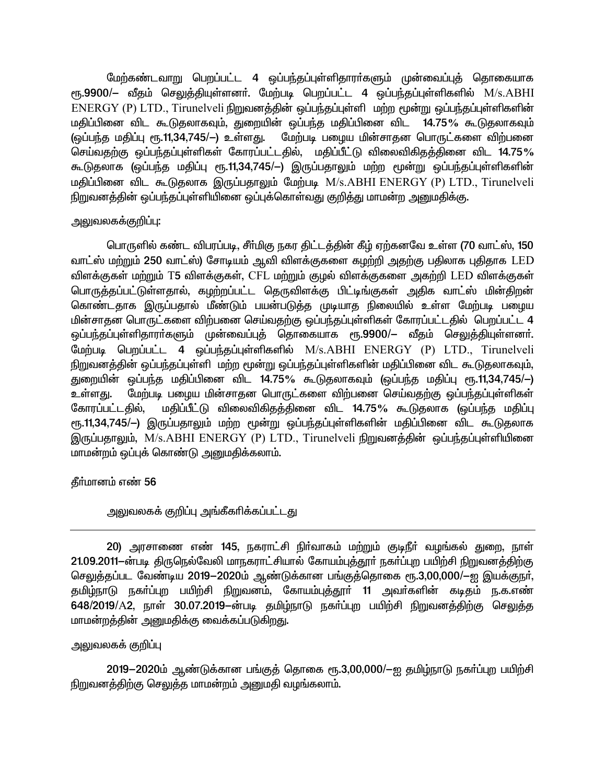மேற்கண்டவாறு பெறப்பட்ட 4 ஒப்பந்தப்புள்ளிதாரா்களும் முன்வைப்புத் தொகையாக ரு. 9900/– வீதம் செலுத்தியுள்ளனர். மேற்படி பெறப்பட்ட 4 ஒப்பந்தப்புள்ளிகளில் M/s. ABHI ENERGY (P) LTD., Tirunelveli நிறுவனத்தின் ஒப்பந்தப்புள்ளி மற்ற மூன்று ஒப்பந்தப்புள்ளிகளின் மதிப்பினை விட கூடுதலாகவும், துறையின் ஒப்பந்த மதிப்பினை விட 14.75% கூடுதலாகவும் (ஒப்பந்த மதிப்பு ரூ.11,34,745/—) உள்ளது. மேற்படி பழைய மின்சாதன பொருட்களை விற்பனை செய்வதற்கு ஒப்பந்தப்புள்ளிகள் கோரப்பட்டதில், மதிப்பீட்டு விலைவிகிதத்தினை விட 14.75% கூடுதலாக (ஒப்பந்த மதிப்பு ரூ.11,34,745/-) இருப்பதாலும் மற்ற மூன்று ஒப்பந்தப்புள்ளிகளின் மதிப்பினை விட கூடுதலாக இருப்பதாலும் மேற்படி M/s.ABHI ENERGY (P) LTD., Tirunelveli நிறுவனத்தின் ஒப்பந்தப்புள்ளியினை ஒப்புக்கொள்வது குறித்து மாமன்ற அறையதிக்கு.

# அலுவலகக்குறிப்பு:

பொருளில் கண்ட விபரப்படி, சீா்மிகு நகர திட்டத்தின் கீழ் ஏற்கனவே உள்ள (70 வாட்ஸ், 150 வாட்ஸ் மற்றும் 250 வாட்ஸ்) சோடியம் ஆவி விளக்குகளை கழற்றி அதற்கு பதிலாக புதிதாக LED விளக்குகள் மற்றும் T5 விளக்குகள், CFL மற்றும் குழல் விளக்குகளை அகற்றி LED விளக்குகள் பொருத்தப்பட்டுள்ளதால், கழற்றப்பட்ட தெருவிளக்கு பிட்டிங்குகள் அதிக வாட்ஸ் மின்திறன் கொண்டதாக இருப்பதால் மீண்டும் பயன்படுத்த முடியாத நிலையில் உள்ள மேற்படி பழைய மின்சாதன பொருட்களை விற்பனை செய்வதற்கு ஒப்பந்தப்புள்ளிகள் கோரப்பட்டதில் பெறப்பட்ட 4 ஒப்பந்தப்புள்ளிதாராகளும் முன்வைப்புத் தொகையாக ரூ.9900/— வீதம் செலுத்தியுள்ளனா். மேற்படி பெறப்பட்ட 4 ஒப்பந்தப்புள்ளிகளில் M/s.ABHI ENERGY (P) LTD., Tirunelveli நிறுவனத்தின் ஒப்பந்தப்புள்ளி மற்ற மூன்று ஒப்பந்தப்புள்ளிகளின் மதிப்பினை விட கூடுதலாகவும், துறையின் ஒப்பந்த மதிப்பினை விட 14.75% கூடுதலாகவும் (ஒப்பந்த மதிப்பு ரூ.11,34,745/—) மேற்படி பழைய மின்சாதன பொருட்களை விற்பனை செய்வதற்கு ஒப்பந்தப்புள்ளிகள் உள்ளகு. மதிப்பீட்டு விலைவிகிதத்தினை விட 14.75% கூடுதலாக (ஒப்பந்த மதிப்பு கோரப்பட்டதில், ரூ.11,34,745/-) இருப்பதாலும் மற்ற மூன்று ஒப்பந்தப்புள்ளிகளின் மதிப்பினை விட கூடுதலாக இருப்பதாலும், M/s.ABHI ENERGY (P) LTD., Tirunelveli நிறுவனத்தின் ஒப்பந்தப்புள்ளியினை மாமன்றம் ஒப்புக் கொண்டு அனுமதிக்கலாம்.

தீர்மானம் எண் 56

# <u>அலுவலகக் குறிப்பு அங்கீகரிக்கப்பட்டது</u>

20) அரசாணை எண் 145, நகராட்சி நிர்வாகம் மற்றும் குடிநீர் வழங்கல் துறை, நாள் 21.09.2011-ன்படி திருநெல்வேலி மாநகராட்சியால் கோயம்புத்தூர் நகர்ப்புற பயிற்சி நிறுவனத்திற்கு செலுத்தப்பட வேண்டிய 2019–2020ம் ஆண்டுக்கான பங்குத்தொகை ரூ.3,00,000/—ஐ இயக்குநர், தமிழ்நாடு நகா்ப்புற பயிற்சி நிறுவனம், கோயம்புத்தூா் 11 அவா்களின் கடிதம் ந.க.எண் 648/2019/A2, நாள் 30.07.2019–ன்படி தமிழ்நாடு நகர்ப்புற பயிற்சி நிறுவனத்திற்கு செலுத்த மாமன்றத்தின் அனுமதிக்கு வைக்கப்படுகிறது.

# அலுவலகக் குறிப்பு

2019–2020ம் ஆண்டுக்கான பங்குத் தொகை ரூ.3,00,000/–ஐ தமிழ்நாடு நகர்ப்புற பயிற்சி நிறுவனத்திற்கு செலுத்த மாமன்றம் அனுமதி வழங்கலாம்.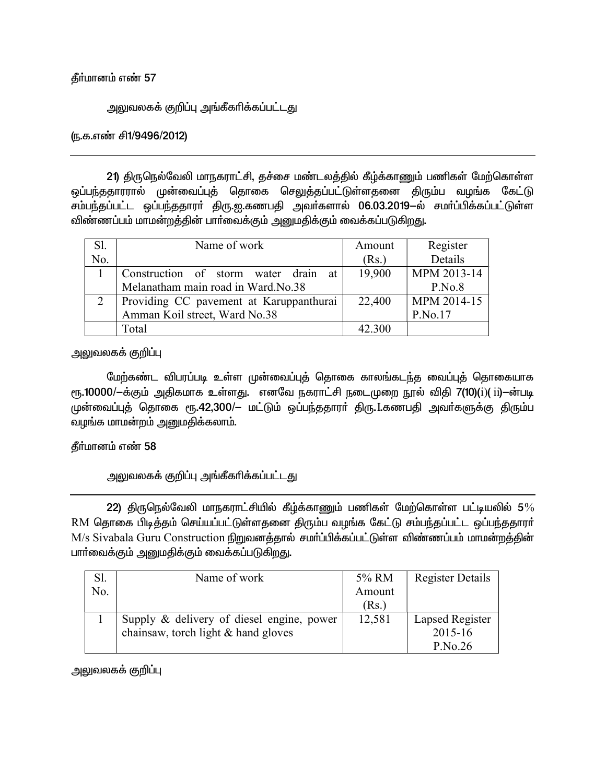## கீர்மானம் எண் 57

<u>அலு</u>வலகக் குறிப்பு அங்கீகரிக்கப்பட்டது

## (ந.க.எண் சி1/9496/2012)

21) திருநெல்வேலி மாநகராட்சி, தச்சை மண்டலத்தில் கீழ்க்காணும் பணிகள் மேற்கொள்ள ஒப்பந்ததாரரால் முன்வைப்புத் தொகை செலுத்தப்பட்டுள்ளதனை திரும்ப வழங்க கேட்டு சம்பந்தப்பட்ட ஒப்பந்ததாரா் திரு.ஐ.கணபதி அவா்களால் 06.03.2019-ல் சமா்ப்பிக்கப்பட்டுள்ள விண்ணப்பம் மாமன்றத்தின் பாா்வைக்கும் அனுமதிக்கும் வைக்கப்படுகிறது.

| Sl. | Name of work                            | Amount | Register    |
|-----|-----------------------------------------|--------|-------------|
| No. |                                         | (Rs.)  | Details     |
|     | Construction of storm water drain at    | 19,900 | MPM 2013-14 |
|     | Melanatham main road in Ward.No.38      |        | P.No.8      |
|     | Providing CC pavement at Karuppanthurai | 22,400 | MPM 2014-15 |
|     | Amman Koil street, Ward No.38           |        | P.No.17     |
|     | Total                                   | 42.300 |             |

<u>அலுவலகக் குறிப்பு</u>

மேற்கண்ட விபரப்படி உள்ள முன்வைப்புத் தொகை காலங்கடந்த வைப்புத் தொகையாக  $_{\rm{eff.}}$ 10000/ $-$ க்கும் அதிகமாக உள்ளது. எனவே நகராட்சி நடைமுறை நூல் விதி 7(10)(i)( ii) $-$ ன்படி முன்வைப்புத் தொகை ரூ.42,300/- மட்டும் ஒப்பந்ததாரா் திரு. Lகணபதி அவா்களுக்கு திரும்ப வழங்க மாமன்றம் அனுமதிக்கலாம்.

### கீர்மானம் எண் 58

அலுவலகக் குறிப்பு அங்கீகரிக்கப்பட்டது

22) திருநெல்வேலி மாநகராட்சியில் கீழ்க்காணும் பணிகள் மேற்கொள்ள பட்டியலில் 5 $\%$ RM தொகை பிடித்தம் செய்யப்பட்டுள்ளதனை திரும்ப வழங்க கேட்டு சம்பந்தப்பட்ட ஒப்பந்ததாரர் M/s Sivabala Guru Construction நிறுவனத்தால் சமர்ப்பிக்கப்பட்டுள்ள விண்ணப்பம் மாமன்றத்தின் பார்வைக்கும் அனுமதிக்கும் வைக்கப்படுகிறது.

|     | Name of work                              | 5% RM  | <b>Register Details</b> |
|-----|-------------------------------------------|--------|-------------------------|
| No. |                                           | Amount |                         |
|     |                                           | (Rs.)  |                         |
|     | Supply & delivery of diesel engine, power | 12,581 | Lapsed Register         |
|     | chainsaw, torch light & hand gloves       |        | 2015-16                 |
|     |                                           |        | P.No.26                 |

அலுவலகக் குறிப்பு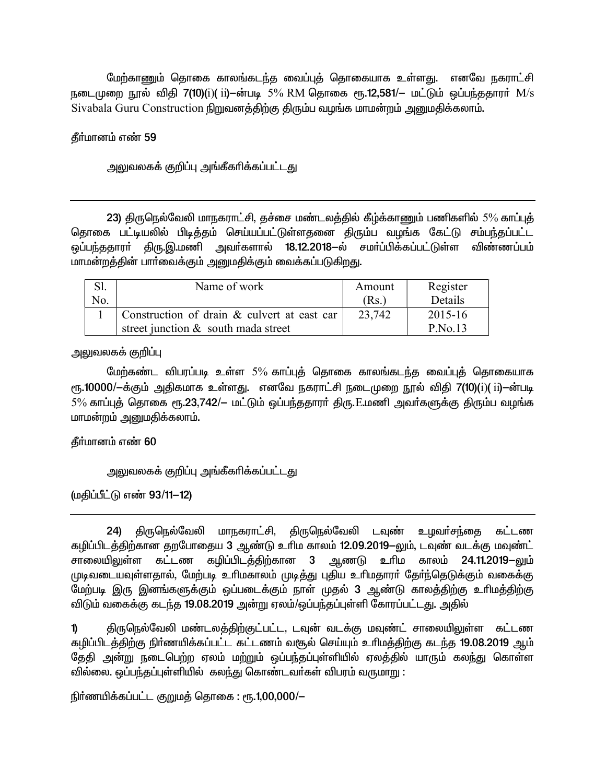மேற்காணும் தொகை காலங்கடந்த வைப்புத் தொகையாக உள்ளது. எனவே நகராட்சி நடைமுறை நூல் விதி 7(10)(i)( ii)-ன்படி 5% RM தொகை ரூ.12,581/– மட்டும் ஒப்பந்ததாரா் M/s Sivabala Guru Construction நிறுவனத்திற்கு திரும்ப வழங்க மாமன்றம் அனுமதிக்கலாம்.

தீர்மானம் எண் 59

அலுவலகக் குறிப்பு அங்கீகரிக்கப்பட்டது

23) திருநெல்வேலி மாநகராட்சி, தச்சை மண்டலத்தில் கீழ்க்காணும் பணிகளில் 5% காப்புத் தொகை பட்டியலில் பிடித்தம் செய்யப்பட்டுள்ளதனை திரும்ப வழங்க கேட்டு சம்பந்தப்பட்ட ஒப்பந்ததாரா் திரு.இ.மணி அவா்களால் 18.12.2018—ல் சமா்ப்பிக்கப்பட்டுள்ள விண்ணப்பம் மாமன்றத்தின் பார்வைக்கும் அனுமதிக்கும் வைக்கப்படுகிறது.

|     | Name of work                                | Amount | Register  |
|-----|---------------------------------------------|--------|-----------|
| No. |                                             | (Rs.)  | Details   |
|     | Construction of drain & culvert at east car | 23,742 | 2015-16   |
|     | street junction & south mada street         |        | $P$ No.13 |

அலுவலகக் குறிப்பு

மேற்கண்ட விபரப்படி உள்ள 5% காப்புத் தொகை காலங்கடந்த வைப்புத் தொகையாக ரு. 10000/ $-$ க்கும் அதிகமாக உள்ளது. எனவே நகராட்சி நடைமுறை நூல் விதி 7(10)(i)( ii)--ன்படி  $5\%$  காப்புத் தொகை ரூ.23,742/— மட்டும் ஒப்பந்ததாரா் திரு. $E$ .மணி அவா்களுக்கு திரும்ப வழங்க மாமன்றம் அனுமதிக்கலாம்.

தீர்மானம் எண் 60

அலுவலகக் குறிப்பு அங்கீகரிக்கப்பட்ட<u>த</u>ு

(மகிப்பீட்டு எண் 93/11-12)

24) திருநெல்வேலி மாநகராட்சி, திருநெல்வேலி டவுண் உழவா்சந்தை கட்டண ்கழிப்பிடத்திற்கான தறபோதைய 3 ஆண்டு உரிம காலம் 12.09.2019-லும், டவுண் வடக்கு மவுண்ட் <u>சாலையிலு</u>ள்ள கட்டண கழிப்பிடத்திற்கான 3 ஆணடு உரிம காலம் 24.11.2019–லும் முடிவடையவுள்ளதால், மேற்படி உரிமகாலம் முடித்து புதிய உரிமதாரா் தோ்ந்தெடுக்கும் வகைக்கு மேற்படி இரு இனங்களுக்கும் ஒப்படைக்கும் நாள் முதல் 3 ஆண்டு காலத்திற்கு உரிமத்திற்கு <u>விடும் வகைக்கு கடந்த 19.08.2019 அன்று ஏலம்/ஒப்பந்தப்புள்ளி கோரப்பட்டது. அதில் </u>

1) திருநெல்வேலி மண்டலத்திற்குட்பட்ட, டவுன் வடக்கு மவுண்ட் சாலையிலுள்ள கட்டண கழிப்பிடத்திற்கு நிர்ணயிக்கப்பட்ட கட்டணம் வசூல் செய்யும் உரிமத்திற்கு கடந்த 19.08.2019 ஆம் தேதி அன்று நடைபெற்ற ஏலம் மற்றும் ஒப்பந்தப்புள்ளியில் ஏலத்தில் யாரும் கலந்து கொள்ள <u>வில்லை. ஒப்பந்த</u>ப்புள்ளியில் கலந்து கொண்டவர்கள் விபரம் வருமாறு :

நிர்ணயிக்கப்பட்ட குறுமக் கொகை : ரூ.1,00,000/ $-$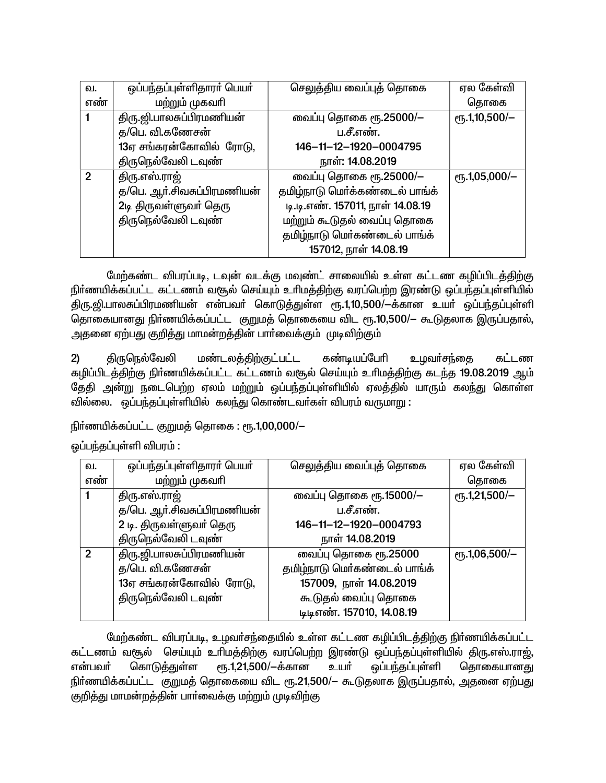| வ.           | ஒப்பந்தப்புள்ளிதாரா் பெயா் | செலுத்திய வைப்புத் தொகை          | ஏல கேள்வி               |
|--------------|----------------------------|----------------------------------|-------------------------|
| எண்          | மற்றும் முகவரி             |                                  | தொகை                    |
|              | திரு.ஜி.பாலசுப்பிரமணியன்   | வைப்பு தொகை ரூ.25000/-           | $\rm e$ гҕ.1,10,500/-   |
|              | த/பெ. வி.கணேசன்            | ப.சீ.எண்.                        |                         |
|              | 13ஏ சங்கரன்கோவில் ரோடு,    | 146-11-12-1920-0004795           |                         |
|              | திருநெல்வேலி டவுண்         | நாள்: 14.08.2019                 |                         |
| $\mathcal P$ | திரு.எஸ்.ராஜ்              | வைப்பு தொகை ரூ.25000/-           | $\rm{e}$ гђ. 1,05,000/- |
|              | த/பெ. ஆா்.சிவசுப்பிரமணியன் | தமிழ்நாடு மெர்க்கண்டைல் பாங்க்   |                         |
|              | 2டி திருவள்ளுவா் தெரு      | டி.டி.எண். 157011, நாள் 14.08.19 |                         |
|              | திருநெல்வேலி டவுண்         | மற்றும் கூடுதல் வைப்பு தொகை      |                         |
|              |                            | தமிழ்நாடு மெர்கண்டைல் பாங்க்     |                         |
|              |                            | 157012, நாள் 14.08.19            |                         |

மேற்கண்ட விபரப்படி, டவுன் வடக்கு மவுண்ட் சாலையில் உள்ள கட்டண கழிப்பிடத்திற்கு நிர்ணயிக்கப்பட்ட கட்டணம் வசூல் செய்யும் உரிமத்திற்கு வரப்பெற்ற இரண்டு ஒப்பந்தப்புள்ளியில் திரு.ஜி.பாலசுப்பிரமணியன் என்பவர் கொடுத்துள்ள ரூ.1,10,500/-க்கான உயர் ஒப்பந்தப்புள்ளி தொகையானது நிர்ணயிக்கப்பட்ட குறுமத் தொகையை விட ரூ.10,500/— கூடுதலாக இருப்பதால், அதனை ஏற்பது குறித்து மாமன்றத்தின் பார்வைக்கும் முடிவிற்கும் ,

திருநெல்வேலி மண்டலத்திற்குட்பட்ட கண்டியப்பேரி உழவா்சந்தை கட்டண  $2)$ கழிப்பிடத்திற்கு நிர்ணயிக்கப்பட்ட கட்டணம் வசூல் செய்யும் உரிமத்திற்கு கடந்த 19.08.2019 ஆம் தேதி அன்று நடைபெற்ற ஏலம் மற்றும் ஒப்பந்தப்புள்ளியில் ஏலத்தில் யாரும் கலந்து கொள்ள வில்லை. ஒப்பந்தப்புள்ளியில் கலந்து கொண்டவாகள் விபரம் வருமாறு :

நிர்ணயிக்கப்பட்ட குறுமத் தொகை : ரூ.1,00,000/-

ஒப்பந்தப்புள்ளி விபரம் :

| வ.  | ஒப்பந்தப்புள்ளிதாரா் பெயா் | செலுத்திய வைப்புத் தொகை      | ஏல கேள்வி               |
|-----|----------------------------|------------------------------|-------------------------|
| எண் | மற்றும் முகவரி             |                              | தொகை                    |
|     | திரு.எஸ்.ராஜ்              | வைப்பு தொகை ரூ.15000/—       | $\rm e$ гҕ.1,21,500/-   |
|     | த/பெ. ஆா்.சிவசுப்பிரமணியன் | ப.சீ.எண்.                    |                         |
|     | 2 டி. திருவள்ளுவர் தெரு    | 146-11-12-1920-0004793       |                         |
|     | திருநெல்வேலி டவுண்         | நாள் 14.08.2019              |                         |
| 2   | திரு.ஜி.பாலசுப்பிரமணியன்   | வைப்பு தொகை ரூ.25000         | $\rm{e}$ гђ. 1,06,500/- |
|     | த/பெ. வி.கணேசன்            | தமிழ்நாடு மெர்கண்டைல் பாங்க் |                         |
|     | 13ஏ சங்கரன்கோவில் ரோடு,    | 157009, நாள் 14.08.2019      |                         |
|     | திருநெல்வேலி டவுண்         | கூடுதல் வைப்பு தொகை          |                         |
|     |                            | டிடிஎண். 157010, 14.08.19    |                         |

மேற்கண்ட விபரப்படி, உழவர்சந்தையில் உள்ள கட்டண கழிப்பிடத்திற்கு நிர்ணயிக்கப்பட்ட கட்டணம் வசூல் செய்யும் உரிமத்திற்கு வரப்பெற்ற இரண்டு ஒப்பந்தப்புள்ளியில் திரு.எஸ்.ராஜ், ரு. 1,21,500/-க்கான என்பவர் கொடுக்துள்ள உயர் ஒப்பந்தப்புள்ளி தொகையானது நிர்ணயிக்கப்பட்ட குறுமத் தொகையை விட ரூ.21,500/— கூடுதலாக இருப்பதால், அதனை ஏற்பது குறித்து மாமன்றத்தின் பார்வைக்கு மற்றும் முடிவிற்கு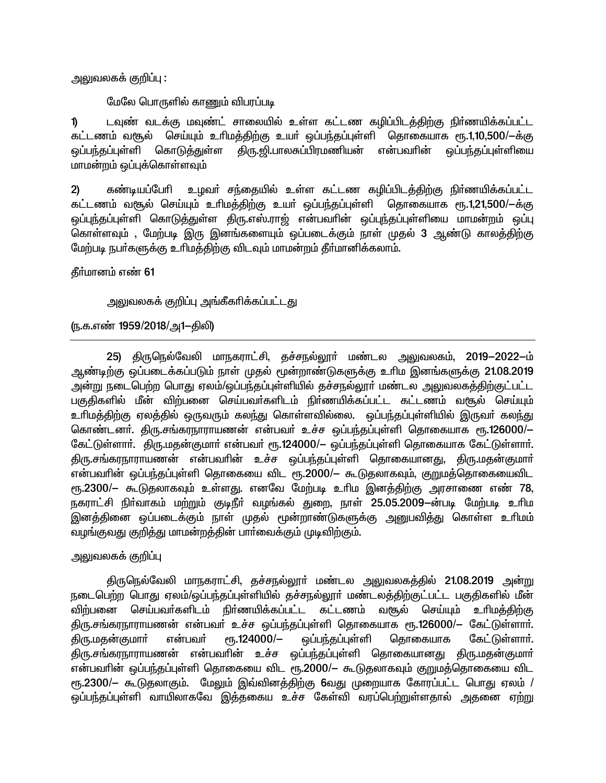அலுவலகக் குறிப்பு :

மேலே பொருளில் காணும் விபரப்படி

டவுண் வடக்கு மவுண்ட் சாலையில் உள்ள கட்டண கழிப்பிடத்திற்கு நிர்ணயிக்கப்பட்ட  $\mathbf{D}$ கட்டணம் வசூல் செய்யும் உரிமத்திற்கு உயர் ஒப்பந்தப்புள்ளி தொகையாக ரூ.1,10,500/-க்கு ஒப்பந்தப்புள்ளி கொடுத்துள்ள திரு.ஜி.பாலசுப்பிரமணியன் என்பவரின் ஒப்பந்தப்புள்ளியை மாமன்றம் ஒப்புக்கொள்ளவும்

கண்டியப்பேரி உழவா் சந்தையில் உள்ள கட்டண கழிப்பிடத்திற்கு நிா்ணயிக்கப்பட்ட  $2)$ கட்டணம் வசூல் செய்யும் உரிமத்திற்கு உயர் ஒப்பந்தப்புள்ளி தொகையாக ரூ.1,21,500/ $-$ க்கு ஒப்புந்தப்புள்ளி கொடுத்துள்ள திரு.எஸ்.ராஜ் என்பவரின் ஒப்புந்தப்புள்ளியை மாமன்றம் ஒப்பு கொள்ளவும் , மேற்படி இரு இனங்களையும் ஒப்படைக்கும் நாள் முதல் 3 ஆண்டு காலத்திற்கு மேற்படி நபாகளுக்கு உரிமத்திற்கு விடவும் மாமன்றம் தீா்மானிக்கலாம்.

தீர்மானம் எண் 61

அலுவலகக் குறிப்பு அங்கீகரிக்கப்பட்டது

(ந.க.எண் 1959/2018/அ1–திலி)

25) திருநெல்வேலி மாநகராட்சி, தச்சநல்லூா் மண்டல அலுவலகம், 2019-2022-ம் ஆண்டிற்கு ஒப்படைக்கப்படும் நாள் முதல் மூன்றாண்டுகளுக்கு உரிம இனங்களுக்கு 21.08.2019 அன்று நடைபெற்ற பொது ஏலம்/ஒப்பந்தப்புள்ளியில் தச்சநல்லூா் மண்டல அலுவலகத்திற்குட்பட்ட பகுதிகளில் மீன் விற்பனை செய்பவர்களிடம் நிர்ணயிக்கப்பட்ட கட்டணம் வசூல் செய்யும் உரிமத்திற்கு ஏலத்தில் ஒருவரும் கலந்து கொள்ளவில்லை. ஒப்பந்தப்புள்ளியில் இருவா் கல<u>ந்து</u> கொண்டனா். திரு.சங்கரநாராயணன் என்பவா் உச்ச ஒப்பந்தப்புள்ளி தொகையாக ரூ.126000/— கேட்டுள்ளார். திரு.மதன்குமார் என்பவர் ரூ.124000/– ஒப்பந்தப்புள்ளி தொகையாக கேட்டுள்ளார். .<br>திரு.சங்கரநாராயணன் என்பவரின் உச்ச ஒப்பந்தப்புள்ளி தொகையானது, திரு.மதன்குமார் என்பவரின் ஒப்பந்தப்புள்ளி தொகையை விட ரூ.2000/— கூடுதலாகவும், குறுமத்தொகையைவிட ரு.2300/— கூடுதலாகவும் உள்ளது. எனவே மேற்படி உரிம இனத்திற்கு அரசாணை எண் 78, நகராட்சி நிர்வாகம் மற்றும் குடிநீர் வழங்கல் துறை, நாள் 25.05.2009—ன்படி மேற்படி உரிம இனத்தினை ஒப்படைக்கும் நாள் முதல் மூன்றாண்டுகளுக்கு அனுபவித்து கொள்ள உரிமம் வழங்குவது குறித்து மாமன்றத்தின் பார்வைக்கும் முடிவிற்கும்.

அலுவலகக் குறிப்பு

திருநெல்வேலி மாநகராட்சி, தச்சநல்லூா் மண்டல அலுவலகத்தில் 21.08.2019 அன்று நடைபெற்ற பொது ஏலம்/ஒப்பந்தப்புள்ளியில் தச்சநல்லூா் மண்டலத்திற்குட்பட்ட பகுதிகளில் மீன் விற்பனை செய்பவர்களிடம் நிர்ணயிக்கப்பட்ட கட்டணம் வரூல் செய்யும் உரிமக்கிற்கு திரு.சங்கரநாராயணன் என்பவர் உச்ச ஒப்பந்தப்புள்ளி தொகையாக ரூ.126000/— கேட்டுள்ளார். திரு.மதன்குமார் என்பவா்  $\epsilon$ гђ.124000/-ஒப்பந்தப்புள்ளி தொகையாக கேட்டுள்ளார். திரு.சங்கரநாராயணன் என்பவரின் உச்ச ஒப்பந்தப்புள்ளி தொகையானது திரு.மதன்குமார் என்பவரின் ஒப்பந்தப்புள்ளி தொகையை விட ரூ.2000/— கூடுதலாகவும் குறுமத்தொகையை விட ரு.2300/– கூடுதலாகும். மேலும் இவ்வினத்திற்கு 6வது முறையாக கோரப்பட்ட பொது ஏலம் / ஒப்பந்தப்புள்ளி வாயிலாகவே இத்தகைய உச்ச கேள்வி வரப்பெற்றுள்ளதால் அதனை ஏற்று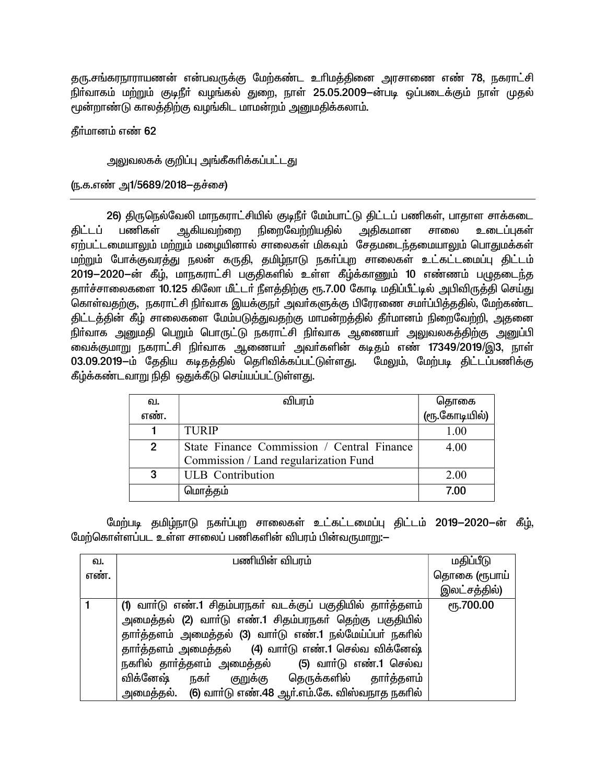தரு.சங்கரநாராயணன் என்பவருக்கு மேற்கண்ட உரிமத்தினை அரசாணை எண் 78, நகராட்சி நிர்வாகம் மற்றும் குடிநீர் வழங்கல் துறை, நாள் 25.05.2009—ன்படி ஒப்படைக்கும் நாள் முதல் மூன்றாண்டு காலத்திற்கு வழங்கிட மாமன்றம் அனுமதிக்கலாம்.

தீர்மானம் எண் 62

<u>அலுவலகக் குறிப்பு அங்கீகரிக்கப்பட்டது</u>

(ந.க.எண் அ1/5689/2018–தச்சை)

26) திருநெல்வேலி மாநகராட்சியில் குடிநீர் மேம்பாட்டு திட்டப் பணிகள், பாதாள சாக்கடை திட்டப் பணிகள் ஆகியவற்றை நிறைவேற்றியதில் அதிகமான சாலை உடைப்புகள் ஏற்பட்டமையாலும் மற்றும் மழையினால் சாலைகள் மிகவும் சேதமடைந்தமையாலும் பொதுமக்கள் மற்றும் போக்குவரத்து நலன் கருதி, தமிழ்நாடு நகா்ப்புற சாலைகள் உட்கட்டமைப்பு திட்டம் 2019-2020-ன் கீழ், மாநகராட்சி பகுதிகளில் உள்ள கீழ்க்காணும் 10 எண்ணம் பழுதடைந்த தார்ச்சாலைகளை 10.125 கிலோ மீட்டர் நீளத்திற்கு ரூ.7.00 கோடி மதிப்பீட்டில் அபிவிருத்தி செய்து கொள்வதற்கு, நகராட்சி நிா்வாக இயக்குநா் அவா்களுக்கு பிரேரணை சமா்ப்பித்ததில், மேற்கண்ட திட்டத்தின் கீழ் சாலைகளை மேம்படுத்துவதற்கு மாமன்றத்தில் தீா்மானம் நிறைவேற்றி, அதனை நிர்வாக அனுமதி பெறும் பொருட்டு நகராட்சி நிர்வாக ஆணையர் அலுவலகத்திற்கு அனுப்பி வைக்குமாறு நகராட்சி நிா்வாக ஆணையா் அவா்களின் கடிதம் எண் 17349/2019/இ3, நாள் 03.09.2019-ம் தேதிய கடிதத்தில் தெரிவிக்கப்பட்டுள்ளது. மேலும், மேற்படி திட்டப்பணிக்கு கீழ்க்கண்டவாறு நிதி ஒதுக்கீடு செய்யப்பட்டுள்ளது.

| வ.            | விபரம்                                     |                       |
|---------------|--------------------------------------------|-----------------------|
| எண்.          |                                            | தொகை<br>(ரூ.கோடியில்) |
|               | <b>TURIP</b>                               | 1.00                  |
| $\mathcal{P}$ | State Finance Commission / Central Finance | 4.00                  |
|               | Commission / Land regularization Fund      |                       |
| 3             | <b>ULB</b> Contribution                    | 2.00                  |
|               | மொத்தம்                                    | 7.00                  |

மேற்படி தமிழ்நாடு நகா்ப்புற சாலைகள் உட்கட்டமைப்பு திட்டம் 2019-2020-ன் கீழ், மேற்கொள்ளப்பட உள்ள சாலைப் பணிகளின் விபரம் பின்வருமாறு:—

| வ.   | பணியின் விபரம்                                             | மதிப்பீடு         |
|------|------------------------------------------------------------|-------------------|
| எண். |                                                            | தொகை (ரூபாய்      |
|      |                                                            | இலட்சத்தில்)      |
|      | (1) வாா்டு எண்.1 சிதம்பரநகா் வடக்குப் பகுதியில் தாா்த்தளம் | <b>е</b> ђ.700.00 |
|      | அமைத்தல் (2) வாா்டு எண்.1 சிதம்பரநகா் தெற்கு பகுதியில்     |                   |
|      | தார்த்தளம் அமைத்தல் (3) வார்டு எண்.1 நல்மேய்ப்பர் நகரில்   |                   |
|      | தார்த்தளம் அமைத்தல் (4) வார்டு எண்.1 செல்வ விக்னேஷ்        |                   |
|      | நகரில் தாா்த்தளம் அமைத்தல் (5) வாா்டு எண்.1 செல்வ          |                   |
|      | விக்னேஷ்<br>நகர்<br>குறுக்கு தெருக்களில் தாா்த்தளம்        |                   |
|      | அமைத்தல். (6) வாா்டு எண்.48 ஆா்.எம்.கே. விஸ்வநாத நகாில்    |                   |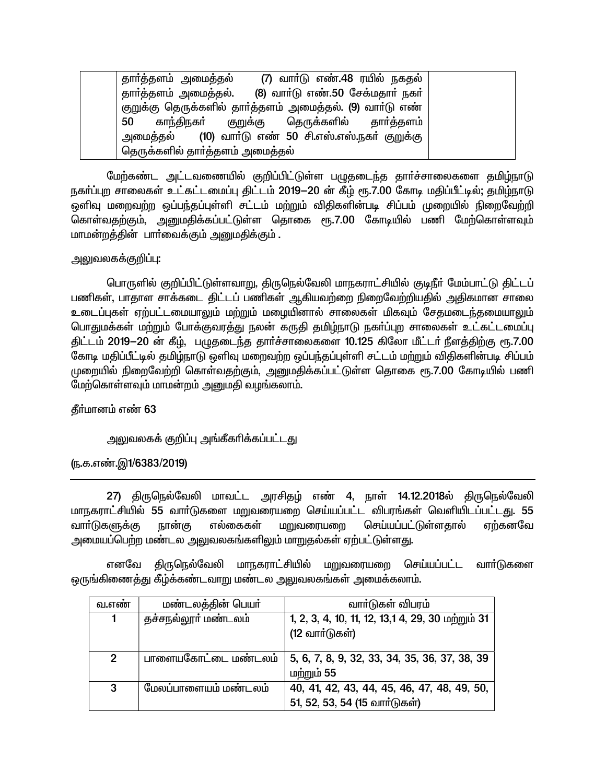தாா்த்தளம் அமைத்தல் (7) வார்டு எண்.48 ரயில் நகதல் (8) வார்டு எண்.50 சேக்மதார் நகர் தாா்த்தளம் அமைத்தல். குறுக்கு தெருக்களில் தாா்த்தளம் அமைத்தல். (9) வாா்டு எண் 50 காந்திநகர் தெருக்களில் குறுக்கு தார்த்தளம் (10) வார்டு எண் 50 சி.எஸ்.எஸ்.நகர் குறுக்கு அமைக்கல் தெருக்களில் தாா்த்தளம் அமைத்தல்

மேற்கண்ட அட்டவணையில் குறிப்பிட்டுள்ள பழுதடைந்த தார்ச்சாலைகளை தமிழ்நாடு நகர்ப்புற சாலைகள் உட்கட்டமைப்பு திட்டம் 2019—20 ன் கீழ் ரூ.7.00 கோடி மதிப்பீட்டில்; தமிழ்நாடு ஒளிவு மறைவற்ற ஒப்பந்தப்புள்ளி சட்டம் மற்றும் விதிகளின்படி சிப்பம் முறையில் நிறைவேற்றி .<br>கொள்வதற்கும், அனுமதிக்கப்பட்டுள்ள தொகை ரூ.7.00 கோடியில் பணி மேற்கொள்ளவும் மாமன்றத்தின் பார்வைக்கும் அனுமதிக்கும் .

# அலுவலகக்குறிப்பு:

பொருளில் குறிப்பிட்டுள்ளவாறு, திருநெல்வேலி மாநகராட்சியில் குடிநீர் மேம்பாட்டு திட்டப் பணிகள், பாதாள சாக்கடை திட்டப் பணிகள் ஆகியவற்றை நிறைவேற்றியதில் அதிகமான சாலை உடைப்புகள் ஏற்பட்டமையாலும் மற்றும் மழையினால் சாலைகள் மிகவும் சேதமடைந்தமையாலும் பொதுமக்கள் மற்றும் போக்குவரத்து நலன் கருதி தமிழ்நாடு நகர்ப்புற சாலைகள் உட்கட்டமைப்பு திட்டம் 2019—20 ன் கீழ், பழுதடைந்த தார்ச்சாலைகளை 10.125 கிலோ மீட்டர் நீளத்திற்கு ரூ.7.00 கோடி மதிப்பீட்டில் தமிழ்நாடு ஒளிவு மறைவற்ற ஒப்பந்தப்புள்ளி சட்டம் மற்றும் விதிகளின்படி சிப்பம் முறையில் நிறைவேற்றி கொள்வதற்கும், அனுமதிக்கப்பட்டுள்ள தொகை ரூ.7.00 கோடியில் பணி மேற்கொள்ளவும் மாமன்றம் அனுமதி வழங்கலாம்.

### **கீர்மானம்** எண் 63

### அலுவலகக் குறிப்பு அங்கீகரிக்கப்பட்டது

### (ந.க.எண்.இ1/6383/2019)

27) திருநெல்வேலி மாவட்ட அரசிதம் எண் 4, நாள் 14.12.2018ல் திருநெல்வேலி மாநகராட்சியில் 55 வார்டுகளை மறுவரையறை செய்யப்பட்ட விபரங்கள் வெளியிடப்பட்டது. 55 எல்கைகள் வார்டுகளுக்கு நான்கு மறுவரையறை செய்யப்பட்டுள்ளதால் ஏற்கனவே அமையப்பெற்ற மண்டல அலுவலகங்களிலும் மாறுகல்கள் ஏற்பட்டுள்ளது.

திருநெல்வேலி மாநகராட்சியில் மறுவரையறை செய்யப்பட்ட வாா்டுகளை எனவே ஒருங்கிணைத்து கீழ்க்கண்டவாறு மண்டல அலுவலகங்கள் அமைக்கலாம்.

| வ.எண         | மண்டலத்தின் பெயர்    | வாா்டுகள் விபரம்                                                             |
|--------------|----------------------|------------------------------------------------------------------------------|
| 1            | தச்சநல்லூா் மண்டலம்  | 1, 2, 3, 4, 10, 11, 12, 13, 14, 29, 30 மற்றும் 31<br>(12 வார்டுகள்)          |
| $\mathbf{2}$ | பாளையகோட்டை மண்டலம்  | 5, 6, 7, 8, 9, 32, 33, 34, 35, 36, 37, 38, 39<br>மற்றும் 55                  |
| 3            | மேலப்பாளையம் மண்டலம் | 40, 41, 42, 43, 44, 45, 46, 47, 48, 49, 50,<br>51, 52, 53, 54 (15 வார்டுகள்) |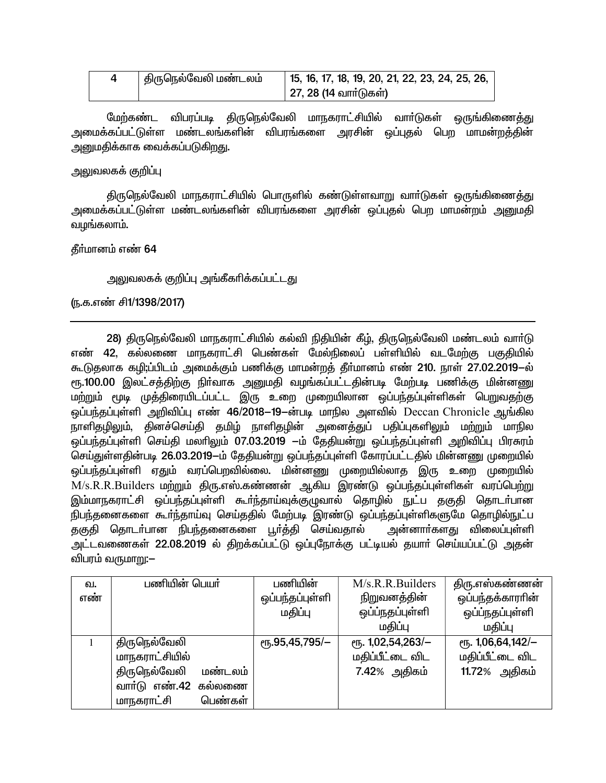| திருநெல்வேலி மண்டலம் | 15, 16, 17, 18, 19, 20, 21, 22, 23, 24, 25, 26, |
|----------------------|-------------------------------------------------|
|                      | 27, 28 (14 வார்டுகள்)                           |

மேற்கண்ட விபரப்படி திருநெல்வேலி மாநகராட்சியில் வாா்டுகள் ஒருங்கிணைத்து அமைக்கப்பட்டுள்ள மண்டலங்களின் விபரங்களை அரசின் ஒப்புகல் பெற மாமன்ற<mark>க்</mark>கின் அனுமதிக்காக வைக்கப்படுகிறது.

## அலுவலகக் குறிப்பு

திருநெல்வேலி மாநகராட்சியில் பொருளில் கண்டுள்ளவாறு வாா்டுகள் ஒருங்கிணைத்து அமைக்கப்பட்டுள்ள மண்டலங்களின் விபரங்களை அரசின் ஒப்புதல் பெற மாமன்றம் அனுமதி வழங்கலாம்.

### தீர்மானம் எண் 64

அலுவலகக் குறிப்பு அங்கீகரிக்கப்பட்டது

## ரு.க.எண் சி1/1398/2017)

28) திருநெல்வேலி மாநகராட்சியில் கல்வி நிதியின் கீம். திருநெல்வேலி மண்டலம் வார்டு எண் 42, கல்லணை மாநகராட்சி பெண்கள் மேல்நிலைப் பள்ளியில் வடமேற்கு பகுதியில் கூடுதலாக கழி;ப்பிடம் அமைக்கும் பணிக்கு மாமன்றத் தீா்மானம் எண் 210. நாள் 27.02.2019—ல் ரு.100.00 இலட்சத்திற்கு நிர்வாக அனுமதி வழங்கப்பட்டதின்படி மேற்படி பணிக்கு மின்னணு மற்றும் மூடி முத்திரையிடப்பட்ட இரு உறை முறையிலான ஒப்பந்தப்புள்ளிகள் பெறுவதற்கு ஒப்பந்தப்புள்ளி அறிவிப்பு எண் 46/2018–19–ன்படி மாநில அளவில் Deccan Chronicle ஆங்கில .<br>நாளிதழிலும், தினச்செய்தி தமிழ் நாளிதழின் அனைத்துப் பதிப்புகளிலும் மற்றும் மாநில .<br>ஒப்பந்தப்புள்ளி செய்தி மலாிலும் 07.03.2019 —ம் தேதியன்று ஒப்பந்தப்புள்ளி அறிவிப்பு பிரசுரம் செய்துள்ளதின்படி 26.03.2019-ம் தேதியன்று ஒப்பந்தப்புள்ளி கோரப்பட்டதில் மின்னணு முறையில் .<br>ஒப்பந்தப்புள்ளி ஏதும் வரப்பெறவில்லை. மின்னணு முறையில்லாத இரு உறை முறையில் M/s.R.R.Builders மற்றும் திரு.எஸ்.கண்ணன் ஆகிய இரண்டு ஒப்பந்தப்புள்ளிகள் வரப்பெற்று இம்மாநகராட்சி ஒப்பந்தப்புள்ளி கூா்ந்தாய்வுக்குழுவால் தொழில் நுட்ப தகுதி தொடா்பான .<br>நிபந்தனைகளை கூா்ந்தாய்வு செய்ததில் மேற்படி இரண்டு ஒப்பந்தப்புள்ளிகளுமே தொழில்நுட்ப .<br>தகுதி தொடா்பான நிபந்தனைகளை பூா்த்தி செய்வதால் அன்னாா்களது விலைப்புள்ளி அட்டவணைகள் 22.08.2019 ல் கிறக்கப்பட்டு ஒப்புரோக்கு பட்டியல் கயார் செய்யப்பட்டு அகன் விபரம் வருமாறு:—

| வ.  | பணியின் பெயர்           | பணியின்                            | M/s.R.R.Builders  | திரு.எஸ்கண்ணன்        |
|-----|-------------------------|------------------------------------|-------------------|-----------------------|
| எண் |                         | ஒப்பந்தப்புள்ளி                    | நிறுவனத்தின்      | ஒப்பந்தக்காரரின்      |
|     |                         | மதிப்பு                            | ஒப்ப்நதப்புள்ளி   | ஒப்ப்நதப்புள்ளி       |
|     |                         |                                    | மகிப்பு           | மகிப்பு               |
|     | திருநெல்வேலி            | $\rm e$ <sup>16</sup> .95,45,795/- | ரூ. 1,02,54,263/- | $e$ гђ. 1,06,64,142/- |
|     | மாநகராட்சியில்          |                                    | மதிப்பீட்டை விட   | மதிப்பீட்டை விட       |
|     | திருநெல்வேலி<br>மண்டலம் |                                    | 7.42% அதிகம்      | 11.72% அதிகம்         |
|     | வாா்டு எண்.42 கல்லணை    |                                    |                   |                       |
|     | பெண்கள்<br>மாநகராட்சி   |                                    |                   |                       |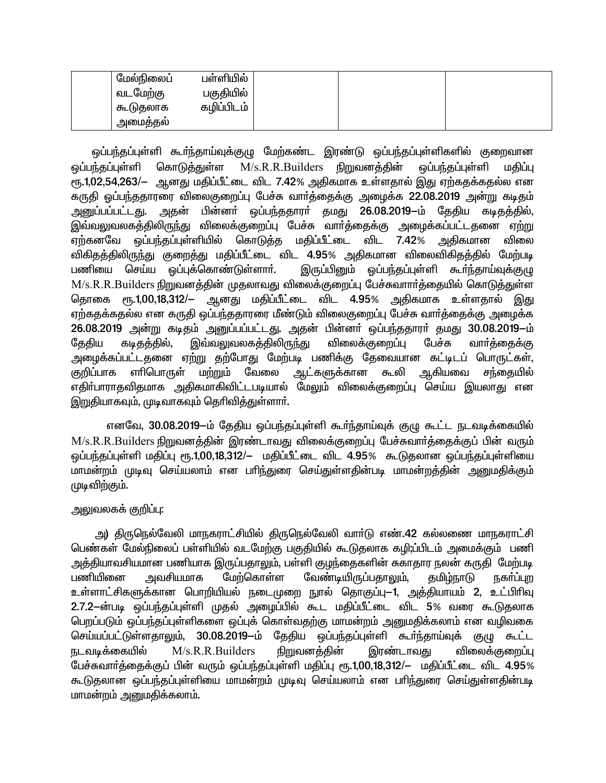| மேல்நிலைப் | பள்ளியில்  |  |  |
|------------|------------|--|--|
| வடமேற்கு   | பகுதியில்  |  |  |
| கூடுதலாக   | கழிப்பிடம் |  |  |
| அமைததல்    |            |  |  |

ஒப்பந்தப்புள்ளி கூா்ந்தாய்வுக்குழு மேற்கண்ட இரண்டு ஒப்பந்தப்புள்ளிகளில் குறைவான கொடுக்துள்ள M/s.R.R.Builders நிறுவனத்தின் ஒப்பந்தப்புள்ளி ஒப்பந்தப்புள்ளி மகிப்பு ரூ.1,02,54,263/– ஆனது மதிப்பீட்டை விட 7.42% அதிகமாக உள்ளதால் இது ஏற்கதக்கதல்ல என கருதி ஒப்பந்ததாரரை விலைகுறைப்பு பேச்சு வார்த்தைக்கு அழைக்க 22.08.2019 அன்று கடிதம் அனுப்பப்பட்டது. அதன் பின்னா் ஒப்பந்ததாரா் தமது 26.08.2019—ம் தேதிய கடிதத்தில், .<br>இவ்வலுவலகத்திலிருந்து விலைக்குறைப்பு பேச்சு வார்த்தைக்கு அழைக்கப்பட்டதனை ஏற்று ஏற்கனவே ஒப்பந்தப்புள்ளியில் கொடுக்க மகிப்பீட்டை விட 7.42% விலை அகிகமான விகிதத்திலிருந்து குறைத்து மதிப்பீட்டை விட 4.95% அதிகமான விலைவிகிதத்தில் மேற்படி பணியை செய்ய ஒப்புக்கொண்டுள்ளார். இருப்பினும் ஒப்பந்தப்புள்ளி கூர்ந்தாய்வுக்குழு M/s.R.R.Builders நிறுவனத்தின் முதலாவது விலைக்குறைப்பு பேச்சுவாார்த்தையில் கொடுத்துள்ள ரு.1,00,18,312/– ஆனது மதிப்பீட்டை விட 4.95% அதிகமாக உள்ளதால் இது தொகை ஏற்கதக்கதல்ல என கருதி ஒப்பந்ததாரரை மீண்டும் விலைகுறைப்பு பேச்சு வார்த்தைக்கு அழைக்க 26.08.2019 அன்று கடிதம் அனுப்பப்பட்டது. அதன் பின்னர் ஒப்பந்ததாரர் தமது 30.08.2019-ம் இவ்வலுவலகத்திலிரு<u>ந்</u>து பேச்சு விலைக்குறைப்பு தேதிய கடிதத்தில், வார்த்தைக்கு அழைக்கப்பட்டதனை ஏற்று தற்போது மேற்படி பணிக்கு தேவையான கட்டிடப் பொருட்கள், குறிப்பாக எாிபொருள் மற்றும் வேலை ஆட்களுக்கான கூலி ஆகியவை சந்தையில் எதிா்பாராதவிதமாக அதிகமாகிவிட்டபடியால் மேலும் விலைக்குறைப்பு செய்ய இயலாது என இறுதியாகவும், முடிவாகவும் தெரிவித்துள்ளார்.

எனவே, 30.08.2019—ம் தேதிய ஒப்பந்தப்புள்ளி கூர்ந்தாய்வுக் குழு கூட்ட நடவடிக்கையில் M/s.R.R.Builders நிறுவனத்தின் இரண்டாவது விலைக்குறைப்பு பேச்சுவார்த்தைக்குப் பின் வரும் ஒப்பந்தப்புள்ளி மதிப்பு ரூ.1,00,18,312/— மதிப்பீட்டை விட 4.95% கூடுதலான ஒப்பந்தப்புள்ளியை மாமன்றம் முடிவு செய்யலாம் என பரிந்துரை செய்துள்ளதின்படி மாமன்றத்தின் அனுமதிக்கும் முடிவிற்கும்.

# அலுவலகக் குறிப்பு:

அ) திருநெல்வேலி மாநகராட்சியில் திருநெல்வேலி வாா்டு எண்.42 கல்லணை மாநகராட்சி பெண்கள் மேல்நிலைப் பள்ளியில் வடமேற்கு பகுதியில் கூடுதலாக கழி;ப்பிடம் அமைக்கும் பணி அத்தியாவசியமான பணியாக இருப்பதாலும், பள்ளி குழந்தைகளின் சுகாதார நலன் கருதி மேற்படி அவசியமாக மேற்கொள்ள பணியினை வேண்டியிருப்பதாலும், தமிழ்நாடு நகர்ப்புற உள்ளாட்சிகளுக்கான பொறியியல் நடைமுறை நூல் தொகுப்பு—1, அத்தியாயம் 2, உட்பிரிவு 2.7.2-ன்படி ஒப்பந்தப்புள்ளி முதல் அழைப்பில் கூட மதிப்பீட்டை விட 5% வரை கூடுதலாக பெறப்படும் ஒப்பந்தப்புள்ளிகளை ஒப்புக் கொள்வதற்கு மாமன்றம் அனுமதிக்கலாம் என வழிவகை செய்யப்பட்டுள்ளதாலும், 30.08.2019-ம் தேதிய ஒப்பந்தப்புள்ளி கூர்ந்தாய்வுக் குழு கூட்ட நடவடிக்கையில் M/s.R.R.Builders நிறுவனத்தின் இரண்டாவது விலைக்குறைப்பு பேச்சுவார்த்தைக்குப் பின் வரும் ஒப்பந்தப்புள்ளி மதிப்பு ரூ.1,00,18,312/— மதிப்பீட்டை விட 4.95% கூடுதலான ஒப்பந்தப்புள்ளியை மாமன்றம் முடிவு செய்யலாம் என பரிந்துரை செய்துள்ளதின்படி மாமன்றம் அனுமதிக்கலாம்.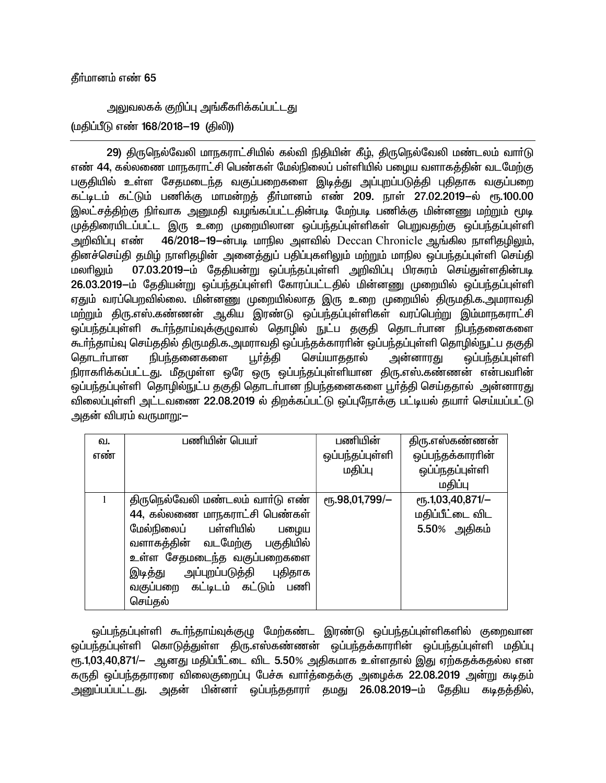## தீர்மானம் எண் 65

அலுவலகக் குறிப்பு அங்கீகரிக்கப்பட்டது (மதிப்பீடு எண் 168/2018-19 (திலி))

29) திருநெல்வேலி மாநகராட்சியில் கல்வி நிதியின் கீழ், திருநெல்வேலி மண்டலம் வார்டு எண் 44, கல்லணை மாநகராட்சி பெண்கள் மேல்நிலைப் பள்ளியில் பழைய வளாகத்தின் வடமேற்கு பகுதியில் உள்ள சேதமடைந்த வகுப்பறைகளை இடித்து அப்புறப்படுத்தி புதிதாக வகுப்பறை கட்டிடம் கட்டும் பணிக்கு மாமன்றக் தீர்மானம் எண் 209. நாள் 27.02.2019—ல் ரூ.100.00 இலட்சத்திற்கு நிர்வாக அனுமதி வழங்கப்பட்டதின்படி மேற்படி பணிக்கு மின்னணு மற்றும் மூடி முத்திரையிடப்பட்ட இரு உறை முறையிலான ஒப்பந்தப்புள்ளிகள் பெறுவதற்கு ஒப்பந்தப்புள்ளி அறிவிப்பு எண் 46/2018–19-ன்படி மாநில அளவில் Deccan Chronicle ஆங்கில நாளிகுமிலும். தினச்செய்தி தமிழ் நாளிதழின் அனைத்துப் பதிப்புகளிலும் மற்றும் மாநில ஒப்பந்தப்புள்ளி செய்தி 07.03.2019-ம் தேதியன்று ஒப்பந்தப்புள்ளி அறிவிப்பு பிரசுரம் செய்துள்ளதின்படி மலாிலும் 26.03.2019-ம் தேதியன்று ஒப்பந்தப்புள்ளி கோரப்பட்டதில் மின்னணு முறையில் ஒப்பந்தப்புள்ளி .<br>ஏதும் வரப்பெறவில்லை. மின்னணு முறையில்லாத இரு உறை முறையில் திருமதி.க.அமராவதி மற்றும் திரு.எஸ்.கண்ணன் ஆகிய இரண்டு ஒப்பந்தப்புள்ளிகள் வரப்பெற்று இம்மாநகராட்சி ஒப்பந்தப்புள்ளி கூர்ந்தாய்வுக்குழுவால் தொழில் நுட்ப தகுதி தொடா்பான நிபந்தனைகளை கூர்ந்தாய்வு செய்ததில் திருமதி.க.அமராவதி ஒப்பந்தக்காரரின் ஒப்பந்தப்புள்ளி தொழில்நுட்ப தகுதி பூர்த்தி செய்யாததால் தொடர்பான நிபந்தனைகளை அன்னாரது ஒப்பந்தப்புள்ளி நிராகாிக்கப்பட்டது. மீதமுள்ள ஒரே ஒரு ஒப்பந்தப்புள்ளியான திரு.எஸ்.கண்ணன் என்பவாின் ஒப்பந்தப்புள்ளி தொழில்நுட்ப தகுதி தொடா்பான நிபந்தனைகளை பூா்த்தி செய்ததால் அன்னாரது விலைப்புள்ளி அட்டவணை 22.08.2019 ல் திறக்கப்பட்டு ஒப்புநோக்கு பட்டியல் தயார் செய்யப்பட்டு அதன் விபரம் வருமாறு:—

| ഖ.  | பணியின் பெயர்                    | பணியின்         | திரு.எஸ்கண்ணன்   |
|-----|----------------------------------|-----------------|------------------|
| எண் |                                  | ஒப்பந்தப்புள்ளி | ஒப்பந்தக்காரரின் |
|     |                                  | மதிப்பு         | ஒப்ப்நதப்புள்ளி  |
|     |                                  |                 | மதிப்பு          |
| 1   | திருநெல்வேலி மண்டலம் வார்டு எண்  | еҧ.98,01,799/-  | еҧ.1,03,40,871/- |
|     | 44, கல்லணை மாநகராட்சி பெண்கள்    |                 | மதிப்பீட்டை விட  |
|     | மேல்நிலைப் பள்ளியில்<br>பழைய     |                 | 5.50% அதிகம்     |
|     | வளாகத்தின் வடமேற்கு பகுதியில்    |                 |                  |
|     | உள்ள சேதமடைந்த வகுப்பறைகளை       |                 |                  |
|     | இடித்து அப்புறப்படுத்தி புதிதாக  |                 |                  |
|     | வகுப்பறை கட்டிடம் கட்டும்<br>பணி |                 |                  |
|     | செய்தல்                          |                 |                  |

ஒப்பந்தப்புள்ளி கூர்ந்தாய்வுக்குழு மேற்கண்ட இரண்டு ஒப்பந்தப்புள்ளிகளில் குறைவான ஒப்பந்தப்புள்ளி கொடுத்துள்ள திரு.எஸ்கண்ணன் ஒப்பந்தக்காராின் ஒப்பந்தப்புள்ளி மதிப்பு ரு.1,03,40,871/- ஆனது மதிப்பீட்டை விட 5.50% அதிகமாக உள்ளதால் இது ஏற்கதக்கதல்ல என கருதி ஒப்பந்ததாரரை விலைகுறைப்பு பேச்சு வார்த்தைக்கு அழைக்க 22.08.2019 அன்று கடிதம் அனுப்பப்பட்டது. அதன் பின்னா் ஒப்பந்ததாரா் தமது 26.08.2019—ம் தேதிய கடிதத்தில்,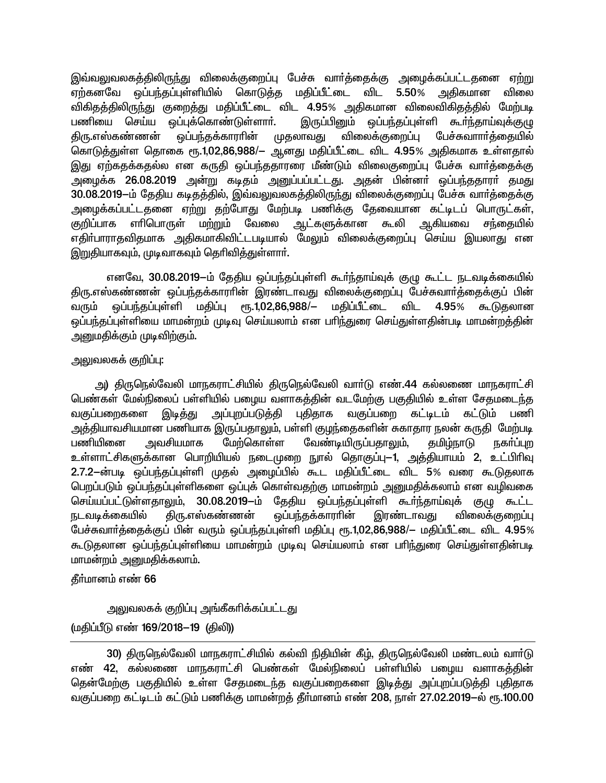இவ்வலுவலகத்திலிருந்து விலைக்குறைப்பு பேச்சு வார்த்தைக்கு அழைக்கப்பட்டதனை ஏற்று ஏற்கனவே ஒப்பந்தப்புள்ளியில் கொடுத்த மதிப்பீட்டை விட 5.50% அதிகமான விலை விகிதத்திலிருந்து குறைத்து மதிப்பீட்டை விட 4.95% அதிகமான விலைவிகிதத்தில் மேற்படி பணியை செய்ய ஒப்புக்கொண்டுள்ளாா். இருப்பினும் ஒப்பந்தப்புள்ளி கூர்ந்தாய்வுக்குமு முதலாவது விலைக்குறைப்பு பேச்சுவாார்க்கையில் ஒப்பந்தக்காராின் <u>கிரு எஸ்கண்ணன்</u> கொடுத்துள்ள தொகை ரூ.1,02,86,988/– ஆனது மதிப்பீட்டை விட 4.95% அதிகமாக உள்ளதால் இது ஏற்கதக்கதல்ல என கருதி ஒப்பந்ததாரரை மீண்டும் விலைகுறைப்பு பேச்சு வார்த்தைக்கு அழைக்க 26.08.2019 அன்று கடிதம் அனுப்பப்பட்டது. அதன் பின்னா் ஒப்பந்ததாரா் தமது 30.08.2019-ம் தேதிய கடிதத்தில், இவ்வலுவலகத்திலிருந்து விலைக்குறைப்பு பேச்சு வார்த்தைக்கு அழைக்கப்பட்டதனை ஏற்று தற்போது மேற்படி பணிக்கு தேவையான கட்டிடப் பொருட்கள், குறிப்பாக எரிபொருள் மற்றும் வேலை ஆட்களுக்கான கூலி ஆகியவை சந்தையில் எதிா்பாராதவிதமாக அதிகமாகிவிட்டபடியால் மேலும் விலைக்குறைப்பு செய்ய இயலாது என இறுதியாகவும், முடிவாகவும் தெரிவித்துள்ளார்.

எனவே, 30.08.2019-ம் தேதிய ஒப்பந்தப்புள்ளி கூர்ந்தாய்வுக் குழு கூட்ட நடவடிக்கையில் திரு.எஸ்கண்ணன் ஒப்பந்தக்காராின் இரண்டாவது விலைக்குறைப்பு பேச்சுவாா்த்தைக்குப் பின் .<br>ஒப்பந்தப்புள்ளி மதிப்பு ரூ.1,02,86,988/— மதிப்பீட்டை விட 4.95% கூடுகலான வரும் ஒப்பந்தப்புள்ளியை மாமன்றம் முடிவு செய்யலாம் என பரிந்துரை செய்துள்ளதின்படி மாமன்றத்தின் அனுமதிக்கும் முடிவிற்கும்.

# அலுவலகக் குறிப்பு:

அ) திருநெல்வேலி மாநகராட்சியில் திருநெல்வேலி வார்டு எண்.44 கல்லணை மாநகராட்சி பெண்கள் மேல்நிலைப் பள்ளியில் பழைய வளாகத்தின் வடமேற்கு பகுதியில் உள்ள சேதமடைந்த வகுப்பறைகளை இடித்து அப்புறப்படுத்தி புதிதாக வகுப்பறை கட்டிடம் கட்டும் பணி அத்தியாவசியமான பணியாக இருப்பதாலும், பள்ளி குழந்தைகளின் சுகாதார நலன் கருதி மேற்படி பணியினை அவசியமாக மேற்கொள்ள வேண்டியிருப்பதாலும், <u>குமிம்நாடு</u> **நகர்ப்ப**ற உள்ளாட்சிகளுக்கான பொறியியல் நடைமுறை நூல் தொகுப்பு—1, அத்தியாயம் 2, உட்பிரிவு 2.7.2-ன்படி ஒப்பந்தப்புள்ளி முதல் அழைப்பில் கூட மதிப்பீட்டை விட 5% வரை கூடுதலாக பெறப்படும் ஒப்பந்தப்புள்ளிகளை ஒப்புக் கொள்வதற்கு மாமன்றம் அனுமதிக்கலாம் என வழிவகை செய்யப்பட்டுள்ளதாலும், 30.08.2019-ம் தேதிய ஒப்பந்தப்புள்ளி கூர்ந்தாய்வுக் குமு கூட்ட திரு.எஸ்கண்ணன் ஒப்பந்தக்காராின் <u>நடவடிக்கையில்</u> இரண்டாவது விலைக்குறைப்பு பேச்சுவார்த்தைக்குப் பின் வரும் ஒப்பந்தப்புள்ளி மதிப்பு ரூ.1,02,86,988/— மதிப்பீட்டை விட 4.95% கூடுதலான ஒப்பந்தப்புள்ளியை மாமன்றம் முடிவு செய்யலாம் என பரிந்துரை செய்துள்ளதின்படி மாமன்றம் அனுமதிக்கலாம்.

# தீர்மானம் எண் 66

<u>அலுவலகக் குறிப்பு அங்கீகரிக்கப்பட்டது</u>

(மதிப்பீடு எண் 169/2018-19 (திலி))

30) திருநெல்வேலி மாநகராட்சியில் கல்வி நிதியின் கீழ், திருநெல்வேலி மண்டலம் வார்டு எண் 42, கல்லணை மாநகராட்சி பெண்கள் மேல்நிலைப் பள்ளியில் பழைய வளாகத்தின் தென்மேற்கு பகுதியில் உள்ள சேதமடைந்த வகுப்பறைகளை இடித்து அப்புறப்படுத்தி புதிதாக வகுப்பறை கட்டிடம் கட்டும் பணிக்கு மாமன்றத் தீர்மானம் எண் 208, நாள் 27.02.2019–ல் ரூ.100.00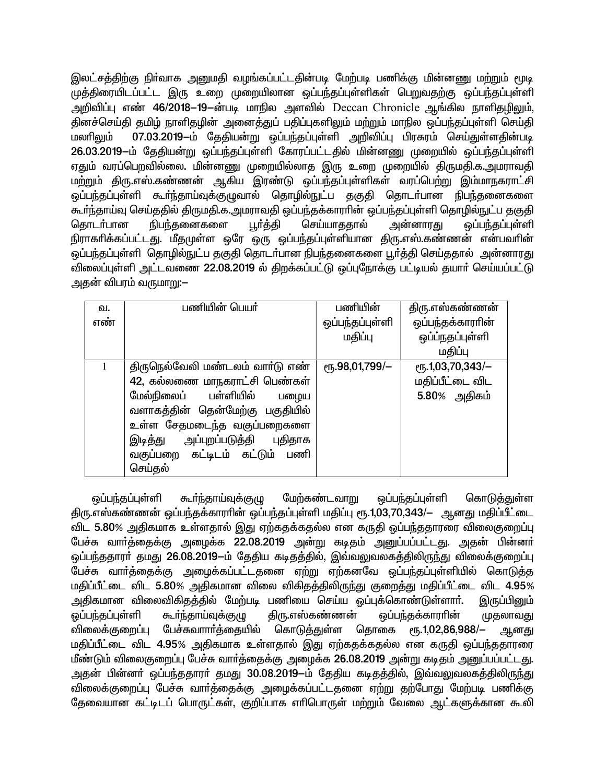இலட்சத்திற்கு நிா்வாக அனுமதி வழங்கப்பட்டதின்படி மேற்படி பணிக்கு மின்னணு மற்றும் மூடி முத்திரையிடப்பட்ட இரு உறை முறையிலான ஒப்பந்தப்புள்ளிகள் பெறுவதற்கு ஒப்பந்தப்புள்ளி அறிவிப்பு எண் 46/2018–19–ன்படி மாநில அளவில் Deccan Chronicle ஆங்கில நாளிதழிலும், தினச்செய்தி தமிழ் நாளிதழின் அனைத்துப் பதிப்புகளிலும் மற்றும் மாநில ஒப்பந்தப்புள்ளி செய்தி 07.03.2019-ம் தேதியன்று ஒப்பந்தப்புள்ளி அறிவிப்பு பிரசுரம் செய்துள்ளதின்படி மலரிலும் 26.03.2019-ம் தேதியன்று ஒப்பந்தப்புள்ளி கோரப்பட்டதில் மின்னணு முறையில் ஒப்பந்தப்புள்ளி ஏதும் வரப்பெறவில்லை. மின்னணு முறையில்லாத இரு உறை முறையில் திருமதி.க.அமராவதி மற்றும் திரு.எஸ்.கண்ணன் ஆகிய இரண்டு ஒப்பந்தப்புள்ளிகள் வரப்பெற்று இம்மாநகராட்சி ஒப்பந்தப்புள்ளி கூர்ந்தாய்வுக்குழுவால் தொழில்நுட்ப தகுதி தொடர்பான நிபந்தனைகளை .<br>கூர்ந்தாய்வு செய்ததில் திருமதி.க.அமராவதி ஒப்பந்தக்காரரின் ஒப்பந்தப்புள்ளி தொழில்நுட்ப தகுதி நிபந்தனைகளை பூர்த்தி கொடர்பான செய்யாததால் <u>அன்னாரது</u> ஒப்பந்தப்புள்ளி நிராகாிக்கப்பட்டது. மீதமுள்ள ஒரே ஒரு ஒப்பந்தப்புள்ளியான திரு.எஸ்.கண்ணன் என்பவாின் ஒப்பந்தப்புள்ளி தொழில்நுட்ப தகுதி தொடா்பான நிபந்தனைகளை பூா்த்தி செய்ததால் அன்னாரது விலைப்புள்ளி அட்டவணை 22.08.2019 ல் திறக்கப்பட்டு ஒப்புநோக்கு பட்டியல் தயார் செய்யப்பட்டு அதன் விபரம் வருமாறு:—

| வ.  | பணியின் பெயர்                      | பணியின்         | திரு.எஸ்கண்ணன்   |
|-----|------------------------------------|-----------------|------------------|
| எண் |                                    | ஒப்பந்தப்புள்ளி | ஒப்பந்தக்காரரின் |
|     |                                    | மதிப்பு         | ஒப்ப்நதப்புள்ளி  |
|     |                                    |                 | மதிப்பு          |
|     | திருநெல்வேலி மண்டலம் வார்டு எண்    | eҧ.98,01,799/-  | еҧ.1,03,70,343/- |
|     | 42, கல்லணை மாநகராட்சி பெண்கள்      |                 | மதிப்பீட்டை விட  |
|     | மேல்நிலைப் பள்ளியில்<br>பழைய       |                 | 5.80% அதிகம்     |
|     | வளாகத்தின் தென்மேற்கு பகுதியில்    |                 |                  |
|     | உள்ள சேதமடைந்த வகுப்பறைகளை         |                 |                  |
|     | அப்புறப்படுத்தி புதிதாக<br>இடித்து |                 |                  |
|     | வகுப்பறை கட்டிடம் கட்டும்<br>பணி   |                 |                  |
|     | செய்தல்                            |                 |                  |

ஒப்பந்தப்புள்ளி கூர்ந்தாய்வுக்குழு மேற்கண்டவாறு ஒப்பந்தப்புள்ளி கொடுத்துள்ள திரு.எஸ்கண்ணன் ஒப்பந்தக்காரரின் ஒப்பந்தப்புள்ளி மதிப்பு ரூ.1,03,70,343/- ஆனது மதிப்பீட்டை விட 5.80% அதிகமாக உள்ளதால் இது ஏற்கதக்கதல்ல என கருதி ஒப்பந்ததாரரை விலைகுறைப்பு பேச்சு வார்த்தைக்கு அழைக்க 22.08.2019 அன்று கடிதம் அனுப்பப்பட்டது. அதன் பின்னர் ஒப்பந்ததாரா் தமது 26.08.2019—ம் தேதிய கடிதத்தில், இவ்வலுவலகத்திலிருந்து விலைக்குறைப்பு பேச்சு வார்த்தைக்கு அழைக்கப்பட்டதனை ஏற்று ஏற்கனவே ஒப்பந்தப்புள்ளியில் கொடுத்த மதிப்பீட்டை விட 5.80% அதிகமான விலை விகிதத்திலிருந்து குறைத்து மதிப்பீட்டை விட 4.95% அதிகமான விலைவிகிதத்தில் மேற்படி பணியை செய்ய ஒப்புக்கொண்டுள்ளார். இருப்பினும் திரு.எஸ்கண்ணன் ஒப்பந்தக்காரரின் ஒப்பந்தப்புள்ளி கூர்ந்தாய்வுக்குழு முதலாவது விலைக்குறைப்பு பேச்சுவாாா்த்தையில் கொடுத்துள்ள தொகை ரூ.1,02,86,988/ அனது மதிப்பீட்டை விட 4.95% அதிகமாக உள்ளதால் இது ஏற்கதக்கதல்ல என கருதி ஒப்பந்ததாரரை மீண்டும் விலைகுறைப்பு பேச்சு வார்த்தைக்கு அமைக்க 26.08.2019 அன்று கடிதம் அனுப்பப்பட்டது. அதன் பின்னா் ஒப்பந்ததாரா் தமது 30.08.2019—ம் தேதிய கடிதத்தில், இவ்வலுவலகத்திலிருந்து விலைக்குறைப்பு பேச்சு வார்த்தைக்கு அழைக்கப்பட்டதனை ஏற்று தற்போது மேற்படி பணிக்கு தேவையான கட்டிடப் பொருட்கள், குறிப்பாக எரிபொருள் மற்றும் வேலை ஆட்களுக்கான கூலி